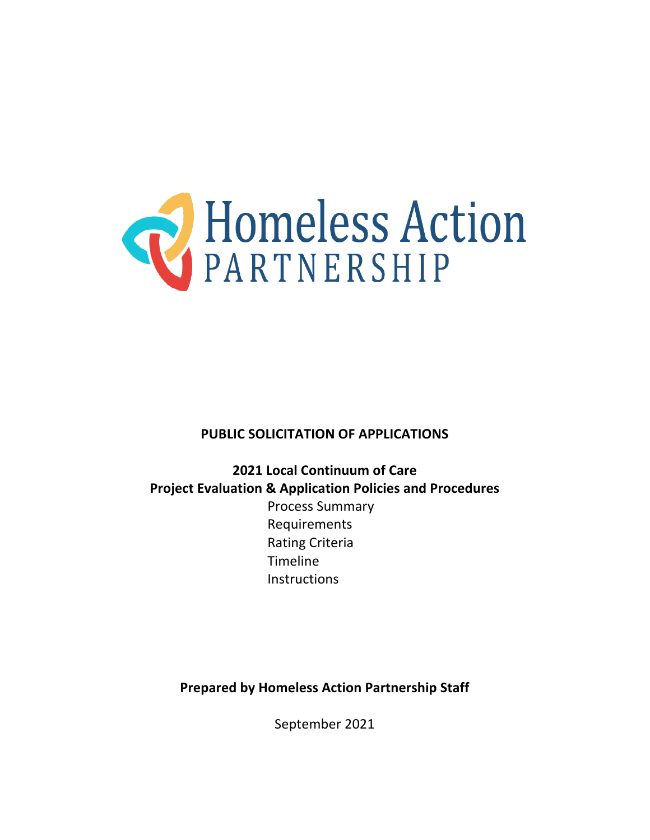

### **PUBLIC SOLICITATION OF APPLICATIONS**

**2021 Local Continuum of Care Project Evaluation & Application Policies and Procedures** Process Summary Requirements Rating Criteria Timeline **Instructions** 

**Prepared by Homeless Action Partnership Staff**

September 2021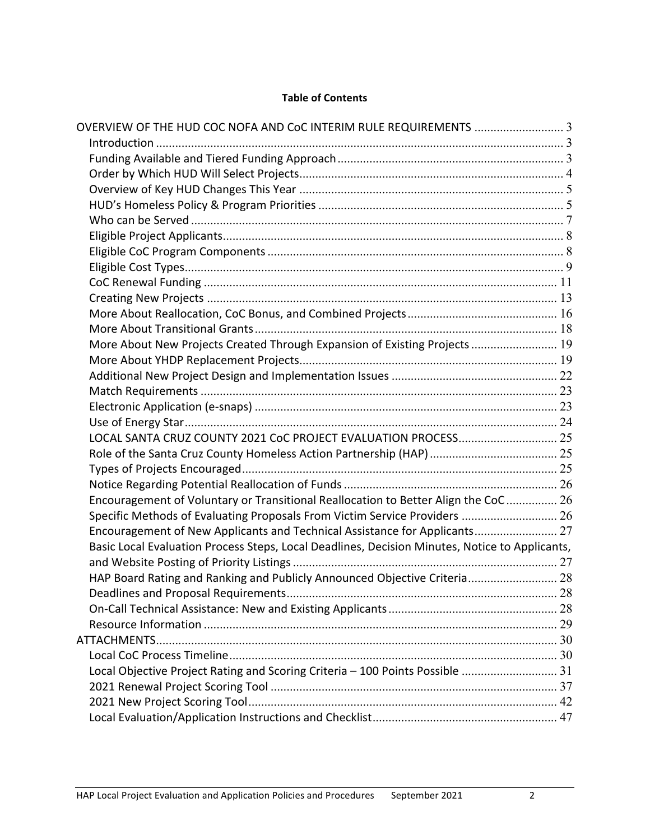### **Table of Contents**

| OVERVIEW OF THE HUD COC NOFA AND CoC INTERIM RULE REQUIREMENTS  3                              |    |
|------------------------------------------------------------------------------------------------|----|
|                                                                                                |    |
|                                                                                                |    |
|                                                                                                |    |
|                                                                                                |    |
|                                                                                                |    |
|                                                                                                |    |
|                                                                                                |    |
|                                                                                                |    |
|                                                                                                |    |
|                                                                                                |    |
|                                                                                                |    |
|                                                                                                |    |
|                                                                                                |    |
| More About New Projects Created Through Expansion of Existing Projects  19                     |    |
|                                                                                                |    |
|                                                                                                |    |
|                                                                                                |    |
|                                                                                                |    |
|                                                                                                |    |
|                                                                                                |    |
|                                                                                                |    |
|                                                                                                |    |
|                                                                                                |    |
| Encouragement of Voluntary or Transitional Reallocation to Better Align the CoC 26             |    |
| Specific Methods of Evaluating Proposals From Victim Service Providers  26                     |    |
| Encouragement of New Applicants and Technical Assistance for Applicants 27                     |    |
| Basic Local Evaluation Process Steps, Local Deadlines, Decision Minutes, Notice to Applicants, |    |
|                                                                                                |    |
| HAP Board Rating and Ranking and Publicly Announced Objective Criteria 28                      |    |
|                                                                                                | 28 |
|                                                                                                |    |
|                                                                                                |    |
|                                                                                                |    |
|                                                                                                |    |
| Local Objective Project Rating and Scoring Criteria - 100 Points Possible  31                  |    |
|                                                                                                |    |
|                                                                                                |    |
|                                                                                                |    |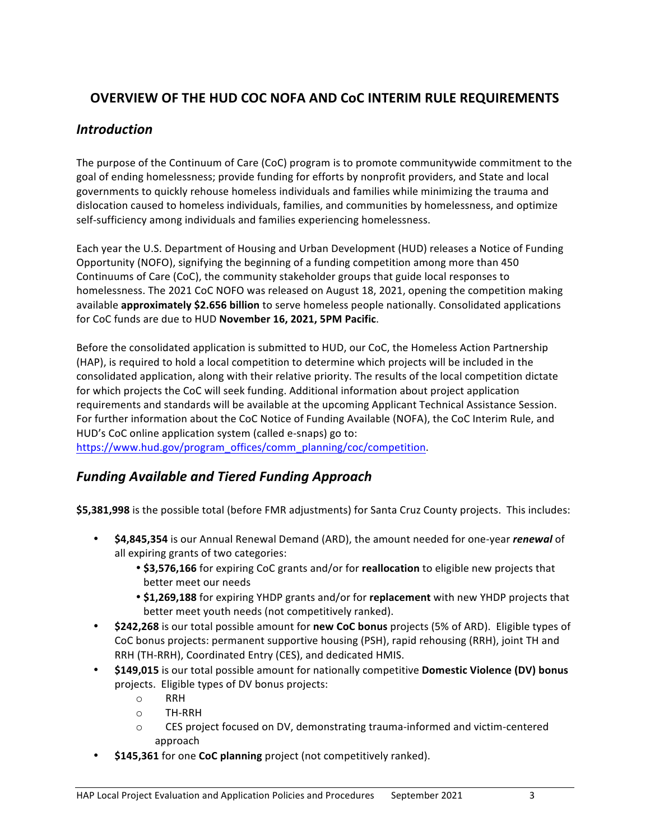## **OVERVIEW OF THE HUD COC NOFA AND CoC INTERIM RULE REQUIREMENTS**

### *Introduction*

The purpose of the Continuum of Care (CoC) program is to promote communitywide commitment to the goal of ending homelessness; provide funding for efforts by nonprofit providers, and State and local governments to quickly rehouse homeless individuals and families while minimizing the trauma and dislocation caused to homeless individuals, families, and communities by homelessness, and optimize self-sufficiency among individuals and families experiencing homelessness.

Each year the U.S. Department of Housing and Urban Development (HUD) releases a Notice of Funding Opportunity (NOFO), signifying the beginning of a funding competition among more than 450 Continuums of Care (CoC), the community stakeholder groups that guide local responses to homelessness. The 2021 CoC NOFO was released on August 18, 2021, opening the competition making available **approximately \$2.656 billion** to serve homeless people nationally. Consolidated applications for CoC funds are due to HUD November 16, 2021, 5PM Pacific.

Before the consolidated application is submitted to HUD, our CoC, the Homeless Action Partnership (HAP), is required to hold a local competition to determine which projects will be included in the consolidated application, along with their relative priority. The results of the local competition dictate for which projects the CoC will seek funding. Additional information about project application requirements and standards will be available at the upcoming Applicant Technical Assistance Session. For further information about the CoC Notice of Funding Available (NOFA), the CoC Interim Rule, and HUD's CoC online application system (called e-snaps) go to:

https://www.hud.gov/program\_offices/comm\_planning/coc/competition.

### *Funding Available and Tiered Funding Approach*

\$5,381,998 is the possible total (before FMR adjustments) for Santa Cruz County projects. This includes:

- \$4,845,354 is our Annual Renewal Demand (ARD), the amount needed for one-year *renewal* of all expiring grants of two categories:
	- \$3,576,166 for expiring CoC grants and/or for reallocation to eligible new projects that better meet our needs
	- \$1,269,188 for expiring YHDP grants and/or for replacement with new YHDP projects that better meet youth needs (not competitively ranked).
- **\$242,268** is our total possible amount for new CoC bonus projects (5% of ARD). Eligible types of CoC bonus projects: permanent supportive housing (PSH), rapid rehousing (RRH), joint TH and RRH (TH-RRH), Coordinated Entry (CES), and dedicated HMIS.
- \$149,015 is our total possible amount for nationally competitive Domestic Violence (DV) bonus projects. Eligible types of DV bonus projects:
	- o RRH
	- o TH-RRH
	- $\circ$  CES project focused on DV, demonstrating trauma-informed and victim-centered approach
- \$145,361 for one **CoC planning** project (not competitively ranked).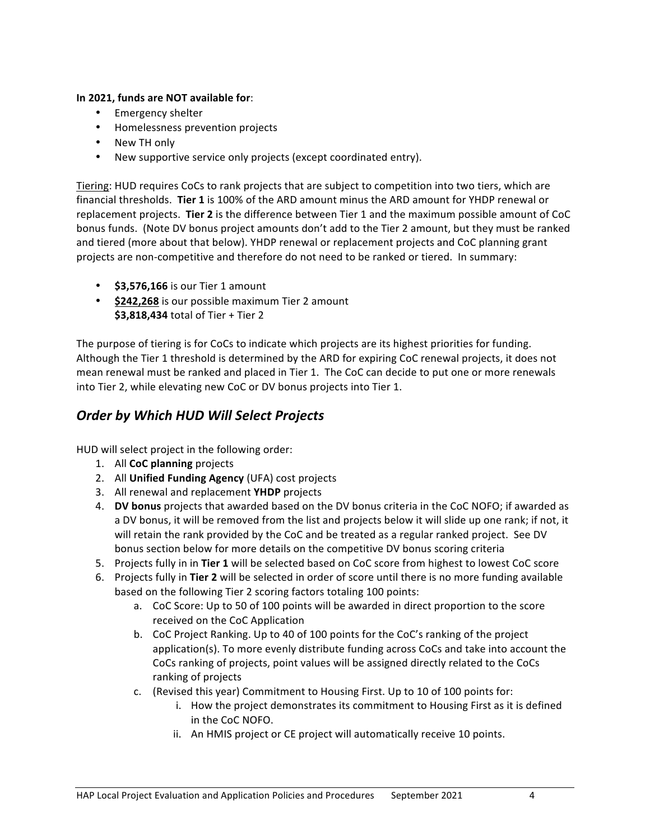#### In 2021, funds are NOT available for:

- Emergency shelter
- Homelessness prevention projects
- New TH only
- New supportive service only projects (except coordinated entry).

Tiering: HUD requires CoCs to rank projects that are subject to competition into two tiers, which are financial thresholds. Tier 1 is 100% of the ARD amount minus the ARD amount for YHDP renewal or replacement projects. Tier 2 is the difference between Tier 1 and the maximum possible amount of CoC bonus funds. (Note DV bonus project amounts don't add to the Tier 2 amount, but they must be ranked and tiered (more about that below). YHDP renewal or replacement projects and CoC planning grant projects are non-competitive and therefore do not need to be ranked or tiered. In summary:

- \$3,576,166 is our Tier 1 amount
- \$242,268 is our possible maximum Tier 2 amount **\$3,818,434** total of Tier + Tier 2

The purpose of tiering is for CoCs to indicate which projects are its highest priorities for funding. Although the Tier 1 threshold is determined by the ARD for expiring CoC renewal projects, it does not mean renewal must be ranked and placed in Tier 1. The CoC can decide to put one or more renewals into Tier 2, while elevating new CoC or DV bonus projects into Tier 1.

### **Order by Which HUD Will Select Projects**

HUD will select project in the following order:

- 1. All **CoC** planning projects
- 2. All **Unified Funding Agency** (UFA) cost projects
- 3. All renewal and replacement **YHDP** projects
- 4. **DV bonus** projects that awarded based on the DV bonus criteria in the CoC NOFO; if awarded as a DV bonus, it will be removed from the list and projects below it will slide up one rank; if not, it will retain the rank provided by the CoC and be treated as a regular ranked project. See DV bonus section below for more details on the competitive DV bonus scoring criteria
- 5. Projects fully in in Tier 1 will be selected based on CoC score from highest to lowest CoC score
- 6. Projects fully in Tier 2 will be selected in order of score until there is no more funding available based on the following Tier 2 scoring factors totaling 100 points:
	- a. CoC Score: Up to 50 of 100 points will be awarded in direct proportion to the score received on the CoC Application
	- b. CoC Project Ranking. Up to 40 of 100 points for the CoC's ranking of the project application(s). To more evenly distribute funding across CoCs and take into account the CoCs ranking of projects, point values will be assigned directly related to the CoCs ranking of projects
	- c. (Revised this year) Commitment to Housing First. Up to 10 of 100 points for:
		- i. How the project demonstrates its commitment to Housing First as it is defined in the CoC NOFO.
		- ii. An HMIS project or CE project will automatically receive 10 points.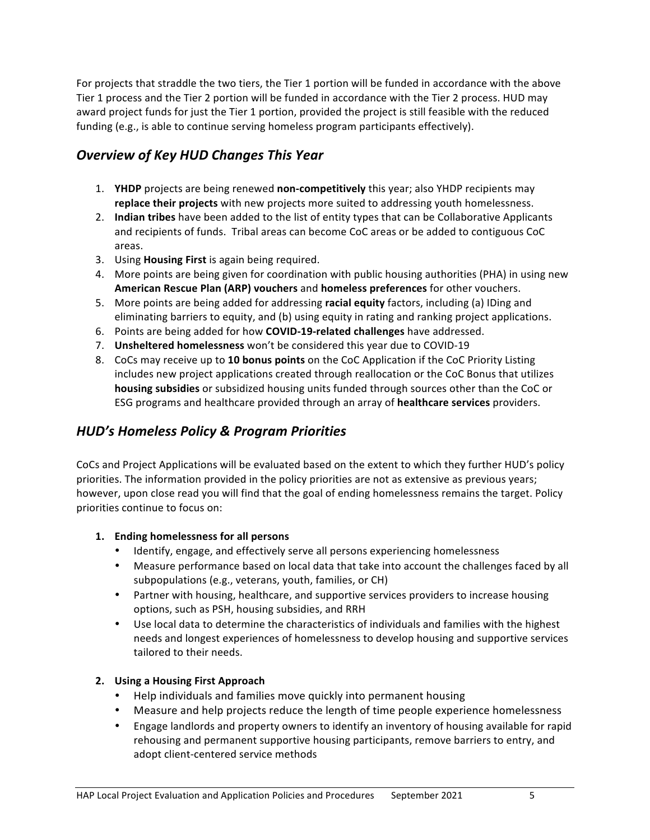For projects that straddle the two tiers, the Tier 1 portion will be funded in accordance with the above Tier 1 process and the Tier 2 portion will be funded in accordance with the Tier 2 process. HUD may award project funds for just the Tier 1 portion, provided the project is still feasible with the reduced funding (e.g., is able to continue serving homeless program participants effectively).

## **Overview of Key HUD Changes This Year**

- 1. **YHDP** projects are being renewed **non-competitively** this year; also YHDP recipients may replace their projects with new projects more suited to addressing youth homelessness.
- 2. **Indian tribes** have been added to the list of entity types that can be Collaborative Applicants and recipients of funds. Tribal areas can become CoC areas or be added to contiguous CoC areas.
- 3. Using **Housing First** is again being required.
- 4. More points are being given for coordination with public housing authorities (PHA) in using new **American Rescue Plan (ARP) vouchers and homeless preferences** for other vouchers.
- 5. More points are being added for addressing racial equity factors, including (a) IDing and eliminating barriers to equity, and (b) using equity in rating and ranking project applications.
- 6. Points are being added for how **COVID-19-related challenges** have addressed.
- 7. **Unsheltered homelessness** won't be considered this year due to COVID-19
- 8. CoCs may receive up to 10 bonus points on the CoC Application if the CoC Priority Listing includes new project applications created through reallocation or the CoC Bonus that utilizes **housing subsidies** or subsidized housing units funded through sources other than the CoC or ESG programs and healthcare provided through an array of healthcare services providers.

### *HUD's Homeless Policy & Program Priorities*

CoCs and Project Applications will be evaluated based on the extent to which they further HUD's policy priorities. The information provided in the policy priorities are not as extensive as previous years; however, upon close read you will find that the goal of ending homelessness remains the target. Policy priorities continue to focus on:

### 1. **Ending homelessness for all persons**

- Identify, engage, and effectively serve all persons experiencing homelessness
- Measure performance based on local data that take into account the challenges faced by all subpopulations (e.g., veterans, youth, families, or CH)
- Partner with housing, healthcare, and supportive services providers to increase housing options, such as PSH, housing subsidies, and RRH
- Use local data to determine the characteristics of individuals and families with the highest needs and longest experiences of homelessness to develop housing and supportive services tailored to their needs.

### **2. Using a Housing First Approach**

- Help individuals and families move quickly into permanent housing
- Measure and help projects reduce the length of time people experience homelessness
- Engage landlords and property owners to identify an inventory of housing available for rapid rehousing and permanent supportive housing participants, remove barriers to entry, and adopt client-centered service methods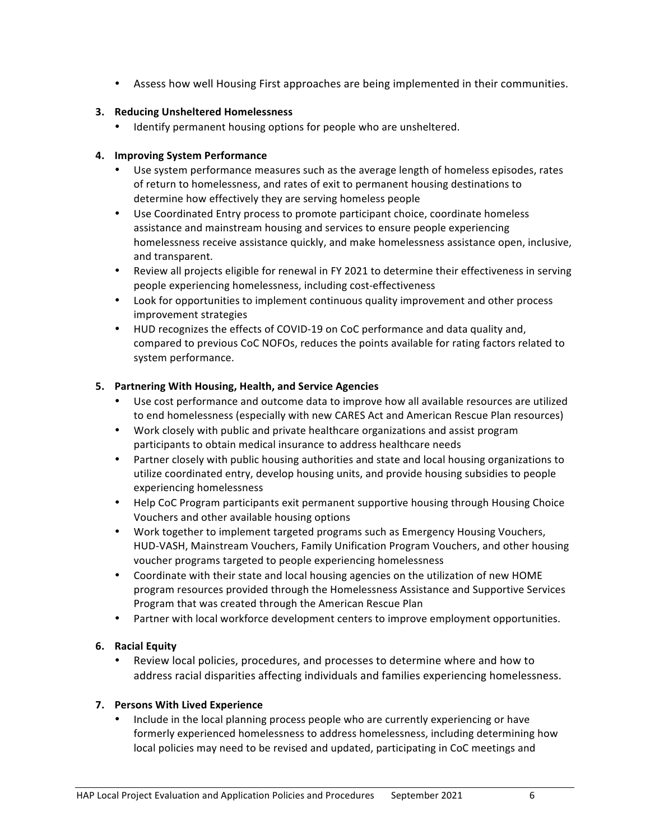• Assess how well Housing First approaches are being implemented in their communities.

### **3. Reducing Unsheltered Homelessness**

• Identify permanent housing options for people who are unsheltered.

#### **4. Improving System Performance**

- Use system performance measures such as the average length of homeless episodes, rates of return to homelessness, and rates of exit to permanent housing destinations to determine how effectively they are serving homeless people
- Use Coordinated Entry process to promote participant choice, coordinate homeless assistance and mainstream housing and services to ensure people experiencing homelessness receive assistance quickly, and make homelessness assistance open, inclusive, and transparent.
- Review all projects eligible for renewal in FY 2021 to determine their effectiveness in serving people experiencing homelessness, including cost-effectiveness
- Look for opportunities to implement continuous quality improvement and other process improvement strategies
- HUD recognizes the effects of COVID-19 on CoC performance and data quality and, compared to previous CoC NOFOs, reduces the points available for rating factors related to system performance.

#### **5. Partnering With Housing, Health, and Service Agencies**

- Use cost performance and outcome data to improve how all available resources are utilized to end homelessness (especially with new CARES Act and American Rescue Plan resources)
- Work closely with public and private healthcare organizations and assist program participants to obtain medical insurance to address healthcare needs
- Partner closely with public housing authorities and state and local housing organizations to utilize coordinated entry, develop housing units, and provide housing subsidies to people experiencing homelessness
- Help CoC Program participants exit permanent supportive housing through Housing Choice Vouchers and other available housing options
- Work together to implement targeted programs such as Emergency Housing Vouchers, HUD-VASH, Mainstream Vouchers, Family Unification Program Vouchers, and other housing voucher programs targeted to people experiencing homelessness
- Coordinate with their state and local housing agencies on the utilization of new HOME program resources provided through the Homelessness Assistance and Supportive Services Program that was created through the American Rescue Plan
- Partner with local workforce development centers to improve employment opportunities.

### **6. Racial Equity**

Review local policies, procedures, and processes to determine where and how to address racial disparities affecting individuals and families experiencing homelessness.

### **7.** Persons With Lived Experience

• Include in the local planning process people who are currently experiencing or have formerly experienced homelessness to address homelessness, including determining how local policies may need to be revised and updated, participating in CoC meetings and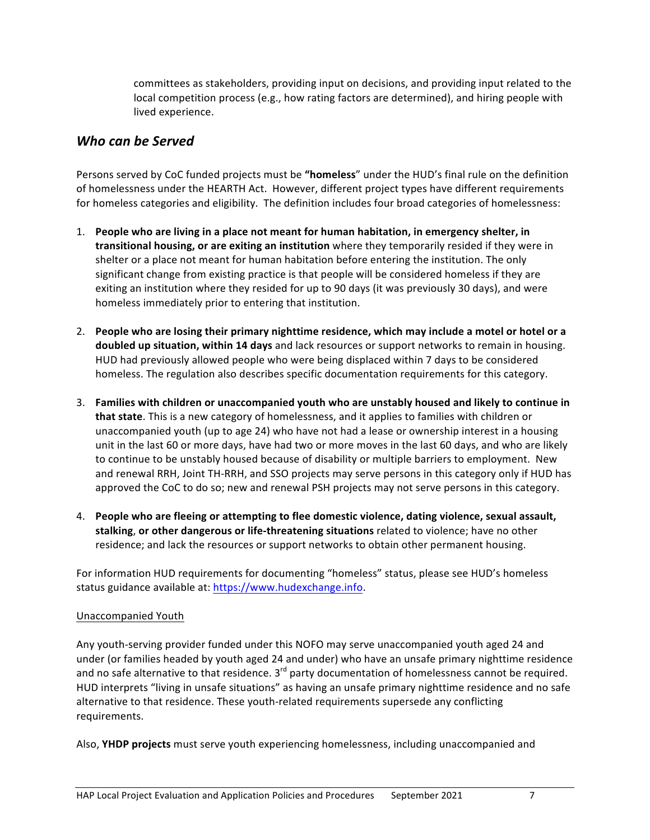committees as stakeholders, providing input on decisions, and providing input related to the local competition process (e.g., how rating factors are determined), and hiring people with lived experience.

### *Who can be Served*

Persons served by CoC funded projects must be "homeless" under the HUD's final rule on the definition of homelessness under the HEARTH Act. However, different project types have different requirements for homeless categories and eligibility. The definition includes four broad categories of homelessness:

- 1. People who are living in a place not meant for human habitation, in emergency shelter, in **transitional housing, or are exiting an institution** where they temporarily resided if they were in shelter or a place not meant for human habitation before entering the institution. The only significant change from existing practice is that people will be considered homeless if they are exiting an institution where they resided for up to 90 days (it was previously 30 days), and were homeless immediately prior to entering that institution.
- 2. People who are losing their primary nighttime residence, which may include a motel or hotel or a **doubled up situation, within 14 days** and lack resources or support networks to remain in housing. HUD had previously allowed people who were being displaced within 7 days to be considered homeless. The regulation also describes specific documentation requirements for this category.
- 3. Families with children or unaccompanied youth who are unstably housed and likely to continue in **that state**. This is a new category of homelessness, and it applies to families with children or unaccompanied youth (up to age 24) who have not had a lease or ownership interest in a housing unit in the last 60 or more days, have had two or more moves in the last 60 days, and who are likely to continue to be unstably housed because of disability or multiple barriers to employment. New and renewal RRH, Joint TH-RRH, and SSO projects may serve persons in this category only if HUD has approved the CoC to do so; new and renewal PSH projects may not serve persons in this category.
- 4. People who are fleeing or attempting to flee domestic violence, dating violence, sexual assault, stalking, or other dangerous or life-threatening situations related to violence; have no other residence; and lack the resources or support networks to obtain other permanent housing.

For information HUD requirements for documenting "homeless" status, please see HUD's homeless status guidance available at: https://www.hudexchange.info.

### Unaccompanied Youth

Any youth-serving provider funded under this NOFO may serve unaccompanied youth aged 24 and under (or families headed by youth aged 24 and under) who have an unsafe primary nighttime residence and no safe alternative to that residence.  $3^{rd}$  party documentation of homelessness cannot be required. HUD interprets "living in unsafe situations" as having an unsafe primary nighttime residence and no safe alternative to that residence. These youth-related requirements supersede any conflicting requirements.

Also, **YHDP projects** must serve youth experiencing homelessness, including unaccompanied and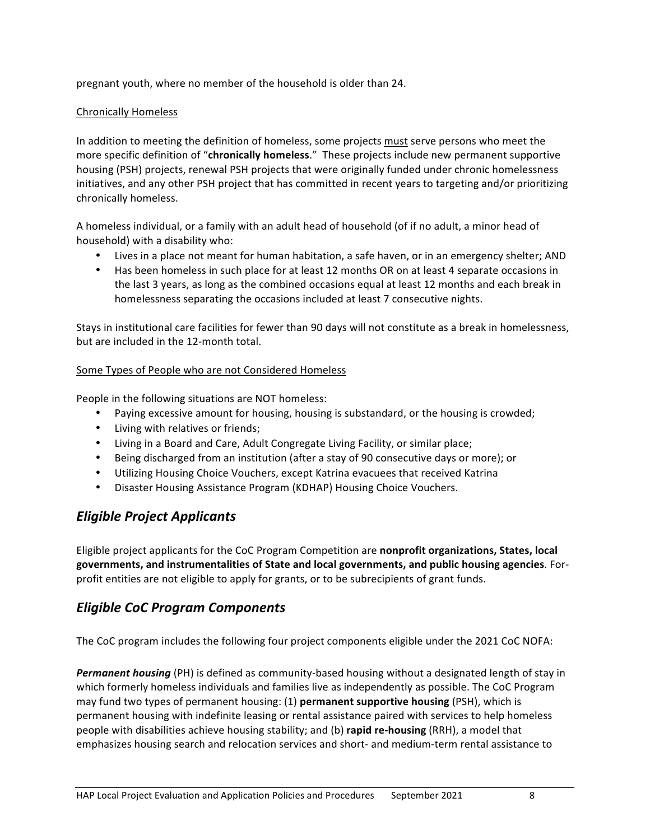pregnant youth, where no member of the household is older than 24.

### Chronically Homeless

In addition to meeting the definition of homeless, some projects must serve persons who meet the more specific definition of "chronically homeless." These projects include new permanent supportive housing (PSH) projects, renewal PSH projects that were originally funded under chronic homelessness initiatives, and any other PSH project that has committed in recent years to targeting and/or prioritizing chronically homeless.

A homeless individual, or a family with an adult head of household (of if no adult, a minor head of household) with a disability who:

- Lives in a place not meant for human habitation, a safe haven, or in an emergency shelter; AND
- Has been homeless in such place for at least 12 months OR on at least 4 separate occasions in the last 3 years, as long as the combined occasions equal at least 12 months and each break in homelessness separating the occasions included at least 7 consecutive nights.

Stays in institutional care facilities for fewer than 90 days will not constitute as a break in homelessness, but are included in the 12-month total.

#### Some Types of People who are not Considered Homeless

People in the following situations are NOT homeless:

- Paying excessive amount for housing, housing is substandard, or the housing is crowded;
- Living with relatives or friends;
- Living in a Board and Care, Adult Congregate Living Facility, or similar place;
- Being discharged from an institution (after a stay of 90 consecutive days or more); or
- Utilizing Housing Choice Vouchers, except Katrina evacuees that received Katrina
- Disaster Housing Assistance Program (KDHAP) Housing Choice Vouchers.

### *Eligible Project Applicants*

Eligible project applicants for the CoC Program Competition are **nonprofit organizations, States, local** governments, and instrumentalities of State and local governments, and public housing agencies. Forprofit entities are not eligible to apply for grants, or to be subrecipients of grant funds.

### *Eligible CoC Program Components*

The CoC program includes the following four project components eligible under the 2021 CoC NOFA:

**Permanent housing** (PH) is defined as community-based housing without a designated length of stay in which formerly homeless individuals and families live as independently as possible. The CoC Program may fund two types of permanent housing: (1) **permanent supportive housing** (PSH), which is permanent housing with indefinite leasing or rental assistance paired with services to help homeless people with disabilities achieve housing stability; and (b) rapid re-housing (RRH), a model that emphasizes housing search and relocation services and short- and medium-term rental assistance to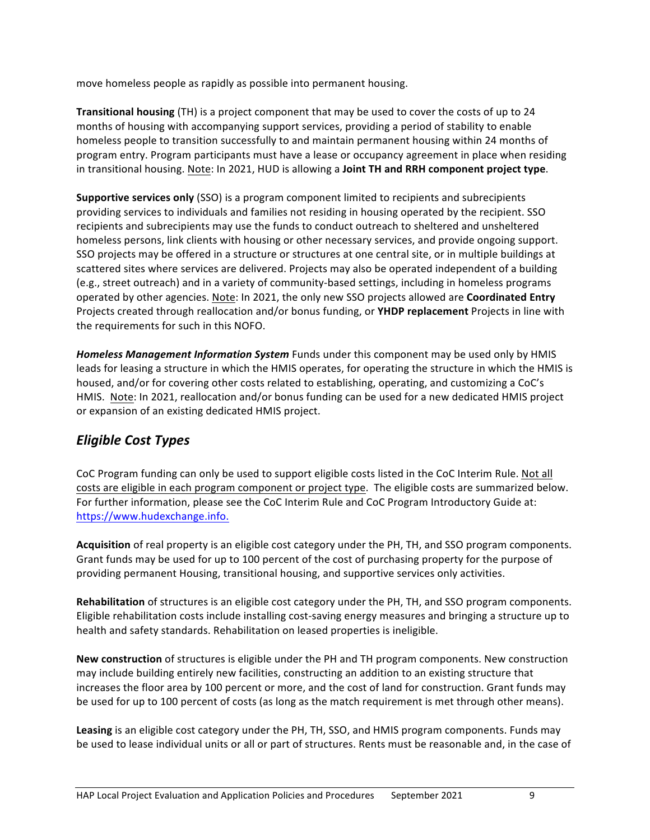move homeless people as rapidly as possible into permanent housing.

**Transitional housing** (TH) is a project component that may be used to cover the costs of up to 24 months of housing with accompanying support services, providing a period of stability to enable homeless people to transition successfully to and maintain permanent housing within 24 months of program entry. Program participants must have a lease or occupancy agreement in place when residing in transitional housing. Note: In 2021, HUD is allowing a Joint TH and RRH component project type.

**Supportive services only** (SSO) is a program component limited to recipients and subrecipients providing services to individuals and families not residing in housing operated by the recipient. SSO recipients and subrecipients may use the funds to conduct outreach to sheltered and unsheltered homeless persons, link clients with housing or other necessary services, and provide ongoing support. SSO projects may be offered in a structure or structures at one central site, or in multiple buildings at scattered sites where services are delivered. Projects may also be operated independent of a building (e.g., street outreach) and in a variety of community-based settings, including in homeless programs operated by other agencies. Note: In 2021, the only new SSO projects allowed are **Coordinated Entry** Projects created through reallocation and/or bonus funding, or **YHDP replacement** Projects in line with the requirements for such in this NOFO.

Homeless Management Information System Funds under this component may be used only by HMIS leads for leasing a structure in which the HMIS operates, for operating the structure in which the HMIS is housed, and/or for covering other costs related to establishing, operating, and customizing a CoC's HMIS. Note: In 2021, reallocation and/or bonus funding can be used for a new dedicated HMIS project or expansion of an existing dedicated HMIS project.

## *Eligible Cost Types*

CoC Program funding can only be used to support eligible costs listed in the CoC Interim Rule. Not all costs are eligible in each program component or project type. The eligible costs are summarized below. For further information, please see the CoC Interim Rule and CoC Program Introductory Guide at: https://www.hudexchange.info. 

**Acquisition** of real property is an eligible cost category under the PH, TH, and SSO program components. Grant funds may be used for up to 100 percent of the cost of purchasing property for the purpose of providing permanent Housing, transitional housing, and supportive services only activities.

**Rehabilitation** of structures is an eligible cost category under the PH, TH, and SSO program components. Eligible rehabilitation costs include installing cost-saving energy measures and bringing a structure up to health and safety standards. Rehabilitation on leased properties is ineligible.

**New construction** of structures is eligible under the PH and TH program components. New construction may include building entirely new facilities, constructing an addition to an existing structure that increases the floor area by 100 percent or more, and the cost of land for construction. Grant funds may be used for up to 100 percent of costs (as long as the match requirement is met through other means).

**Leasing** is an eligible cost category under the PH, TH, SSO, and HMIS program components. Funds may be used to lease individual units or all or part of structures. Rents must be reasonable and, in the case of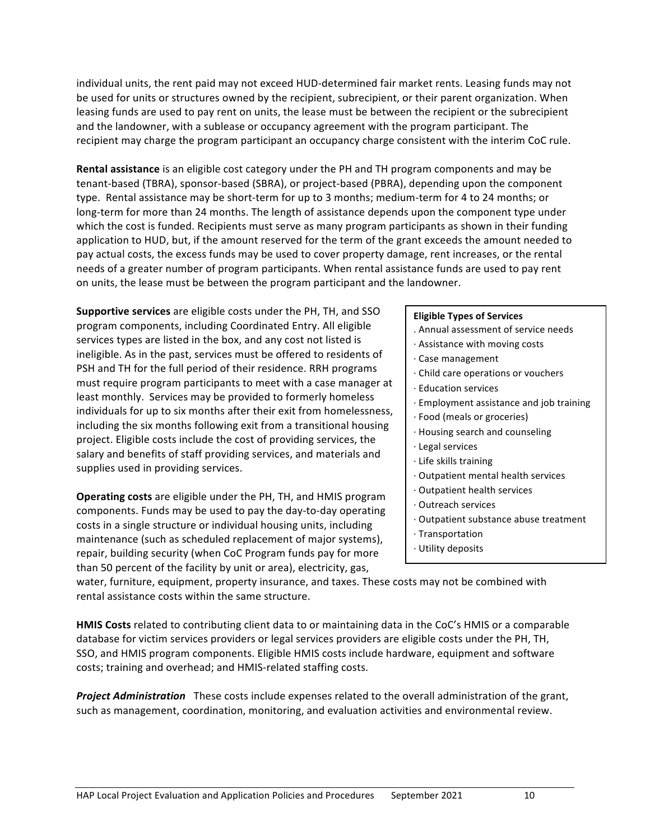individual units, the rent paid may not exceed HUD-determined fair market rents. Leasing funds may not be used for units or structures owned by the recipient, subrecipient, or their parent organization. When leasing funds are used to pay rent on units, the lease must be between the recipient or the subrecipient and the landowner, with a sublease or occupancy agreement with the program participant. The recipient may charge the program participant an occupancy charge consistent with the interim CoC rule.

**Rental assistance** is an eligible cost category under the PH and TH program components and may be tenant-based (TBRA), sponsor-based (SBRA), or project-based (PBRA), depending upon the component type. Rental assistance may be short-term for up to 3 months; medium-term for 4 to 24 months; or long-term for more than 24 months. The length of assistance depends upon the component type under which the cost is funded. Recipients must serve as many program participants as shown in their funding application to HUD, but, if the amount reserved for the term of the grant exceeds the amount needed to pay actual costs, the excess funds may be used to cover property damage, rent increases, or the rental needs of a greater number of program participants. When rental assistance funds are used to pay rent on units, the lease must be between the program participant and the landowner.

**Supportive services** are eligible costs under the PH, TH, and SSO program components, including Coordinated Entry. All eligible services types are listed in the box, and any cost not listed is ineligible. As in the past, services must be offered to residents of PSH and TH for the full period of their residence. RRH programs must require program participants to meet with a case manager at least monthly. Services may be provided to formerly homeless individuals for up to six months after their exit from homelessness, including the six months following exit from a transitional housing project. Eligible costs include the cost of providing services, the salary and benefits of staff providing services, and materials and supplies used in providing services.

**Operating costs** are eligible under the PH, TH, and HMIS program components. Funds may be used to pay the day-to-day operating costs in a single structure or individual housing units, including maintenance (such as scheduled replacement of major systems), repair, building security (when CoC Program funds pay for more than 50 percent of the facility by unit or area), electricity, gas,

#### **Eligible Types of Services**

- . Annual assessment of service needs
- $\cdot$  Assistance with moving costs
- · Case management
- · Child care operations or vouchers
- · Education services
- · Employment assistance and job training
- · Food (meals or groceries)
- · Housing search and counseling
- · Legal services
- $\cdot$  Life skills training
- $\cdot$  Outpatient mental health services
- · Outpatient health services
- · Outreach services
- · Outpatient substance abuse treatment
- · Transportation
- · Utility deposits

water, furniture, equipment, property insurance, and taxes. These costs may not be combined with rental assistance costs within the same structure.

**HMIS Costs** related to contributing client data to or maintaining data in the CoC's HMIS or a comparable database for victim services providers or legal services providers are eligible costs under the PH, TH, SSO, and HMIS program components. Eligible HMIS costs include hardware, equipment and software costs; training and overhead; and HMIS-related staffing costs.

**Project Administration** These costs include expenses related to the overall administration of the grant, such as management, coordination, monitoring, and evaluation activities and environmental review.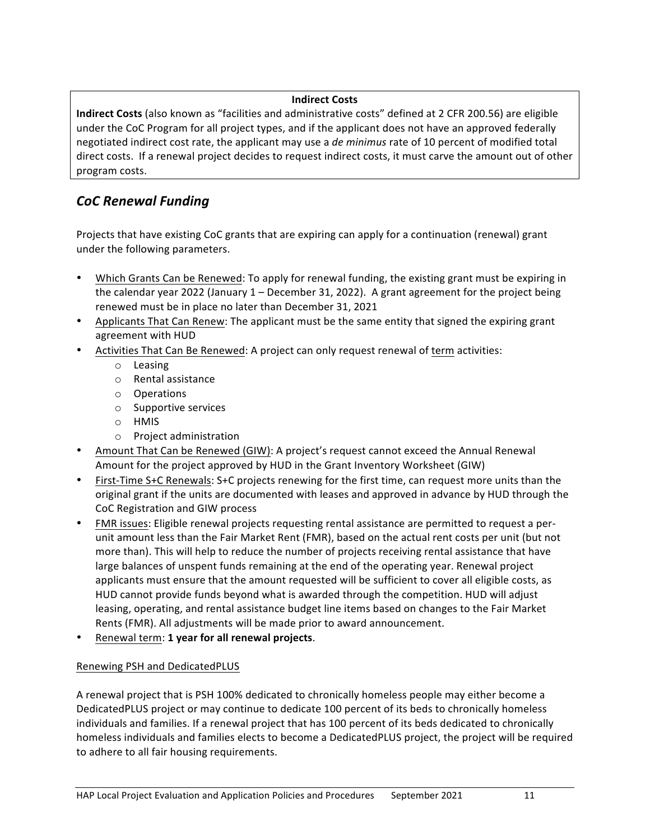#### **Indirect Costs**

**Indirect Costs** (also known as "facilities and administrative costs" defined at 2 CFR 200.56) are eligible under the CoC Program for all project types, and if the applicant does not have an approved federally negotiated indirect cost rate, the applicant may use a *de minimus* rate of 10 percent of modified total direct costs. If a renewal project decides to request indirect costs, it must carve the amount out of other program costs.

## *CoC Renewal Funding*

Projects that have existing CoC grants that are expiring can apply for a continuation (renewal) grant under the following parameters.

- Which Grants Can be Renewed: To apply for renewal funding, the existing grant must be expiring in the calendar year 2022 (January  $1$  – December 31, 2022). A grant agreement for the project being renewed must be in place no later than December 31, 2021
- Applicants That Can Renew: The applicant must be the same entity that signed the expiring grant agreement with HUD
- Activities That Can Be Renewed: A project can only request renewal of term activities:
	- o Leasing
	- o Rental assistance
	- o Operations
	- $\circ$  Supportive services
	- o HMIS
	- $\circ$  Project administration
- Amount That Can be Renewed (GIW): A project's request cannot exceed the Annual Renewal Amount for the project approved by HUD in the Grant Inventory Worksheet (GIW)
- First-Time S+C Renewals: S+C projects renewing for the first time, can request more units than the original grant if the units are documented with leases and approved in advance by HUD through the CoC Registration and GIW process
- FMR issues: Eligible renewal projects requesting rental assistance are permitted to request a perunit amount less than the Fair Market Rent (FMR), based on the actual rent costs per unit (but not more than). This will help to reduce the number of projects receiving rental assistance that have large balances of unspent funds remaining at the end of the operating year. Renewal project applicants must ensure that the amount requested will be sufficient to cover all eligible costs, as HUD cannot provide funds beyond what is awarded through the competition. HUD will adjust leasing, operating, and rental assistance budget line items based on changes to the Fair Market Rents (FMR). All adjustments will be made prior to award announcement.
- Renewal term: 1 year for all renewal projects.

### Renewing PSH and DedicatedPLUS

A renewal project that is PSH 100% dedicated to chronically homeless people may either become a DedicatedPLUS project or may continue to dedicate 100 percent of its beds to chronically homeless individuals and families. If a renewal project that has 100 percent of its beds dedicated to chronically homeless individuals and families elects to become a DedicatedPLUS project, the project will be required to adhere to all fair housing requirements.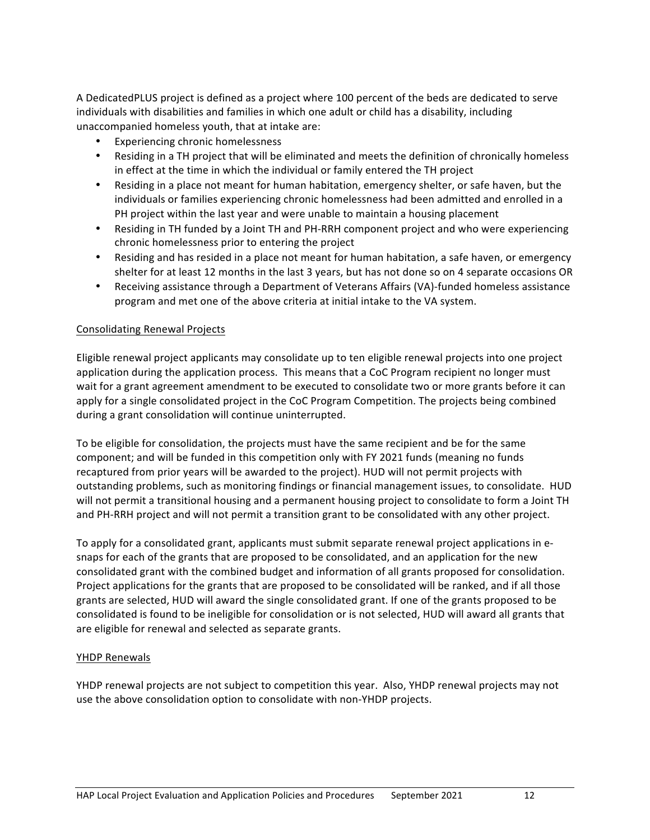A DedicatedPLUS project is defined as a project where 100 percent of the beds are dedicated to serve individuals with disabilities and families in which one adult or child has a disability, including unaccompanied homeless youth, that at intake are:

- Experiencing chronic homelessness
- Residing in a TH project that will be eliminated and meets the definition of chronically homeless in effect at the time in which the individual or family entered the TH project
- Residing in a place not meant for human habitation, emergency shelter, or safe haven, but the individuals or families experiencing chronic homelessness had been admitted and enrolled in a PH project within the last year and were unable to maintain a housing placement
- Residing in TH funded by a Joint TH and PH-RRH component project and who were experiencing chronic homelessness prior to entering the project
- Residing and has resided in a place not meant for human habitation, a safe haven, or emergency shelter for at least 12 months in the last 3 years, but has not done so on 4 separate occasions OR
- Receiving assistance through a Department of Veterans Affairs (VA)-funded homeless assistance program and met one of the above criteria at initial intake to the VA system.

### Consolidating Renewal Projects

Eligible renewal project applicants may consolidate up to ten eligible renewal projects into one project application during the application process. This means that a CoC Program recipient no longer must wait for a grant agreement amendment to be executed to consolidate two or more grants before it can apply for a single consolidated project in the CoC Program Competition. The projects being combined during a grant consolidation will continue uninterrupted.

To be eligible for consolidation, the projects must have the same recipient and be for the same component; and will be funded in this competition only with FY 2021 funds (meaning no funds recaptured from prior years will be awarded to the project). HUD will not permit projects with outstanding problems, such as monitoring findings or financial management issues, to consolidate. HUD will not permit a transitional housing and a permanent housing project to consolidate to form a Joint TH and PH-RRH project and will not permit a transition grant to be consolidated with any other project.

To apply for a consolidated grant, applicants must submit separate renewal project applications in esnaps for each of the grants that are proposed to be consolidated, and an application for the new consolidated grant with the combined budget and information of all grants proposed for consolidation. Project applications for the grants that are proposed to be consolidated will be ranked, and if all those grants are selected, HUD will award the single consolidated grant. If one of the grants proposed to be consolidated is found to be ineligible for consolidation or is not selected, HUD will award all grants that are eligible for renewal and selected as separate grants.

#### YHDP Renewals

YHDP renewal projects are not subject to competition this year. Also, YHDP renewal projects may not use the above consolidation option to consolidate with non-YHDP projects.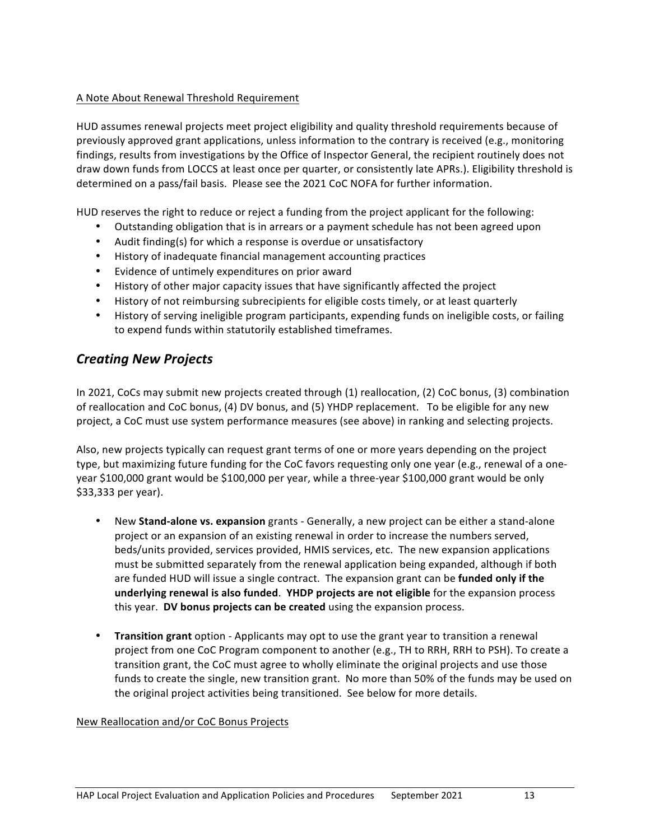#### A Note About Renewal Threshold Requirement

HUD assumes renewal projects meet project eligibility and quality threshold requirements because of previously approved grant applications, unless information to the contrary is received (e.g., monitoring findings, results from investigations by the Office of Inspector General, the recipient routinely does not draw down funds from LOCCS at least once per quarter, or consistently late APRs.). Eligibility threshold is determined on a pass/fail basis. Please see the 2021 CoC NOFA for further information.

HUD reserves the right to reduce or reject a funding from the project applicant for the following:

- Outstanding obligation that is in arrears or a payment schedule has not been agreed upon
- Audit finding(s) for which a response is overdue or unsatisfactory
- History of inadequate financial management accounting practices
- Evidence of untimely expenditures on prior award
- History of other major capacity issues that have significantly affected the project
- History of not reimbursing subrecipients for eligible costs timely, or at least quarterly
- History of serving ineligible program participants, expending funds on ineligible costs, or failing to expend funds within statutorily established timeframes.

### *Creating New Projects*

In 2021, CoCs may submit new projects created through (1) reallocation, (2) CoC bonus, (3) combination of reallocation and CoC bonus, (4) DV bonus, and (5) YHDP replacement. To be eligible for any new project, a CoC must use system performance measures (see above) in ranking and selecting projects.

Also, new projects typically can request grant terms of one or more years depending on the project type, but maximizing future funding for the CoC favors requesting only one year (e.g., renewal of a oneyear \$100,000 grant would be \$100,000 per year, while a three-year \$100,000 grant would be only \$33,333 per year).

- New **Stand-alone vs. expansion** grants Generally, a new project can be either a stand-alone project or an expansion of an existing renewal in order to increase the numbers served, beds/units provided, services provided, HMIS services, etc. The new expansion applications must be submitted separately from the renewal application being expanded, although if both are funded HUD will issue a single contract. The expansion grant can be **funded only if the underlying renewal is also funded. YHDP projects are not eligible** for the expansion process this year. DV bonus projects can be created using the expansion process.
- **Transition grant** option Applicants may opt to use the grant year to transition a renewal project from one CoC Program component to another (e.g., TH to RRH, RRH to PSH). To create a transition grant, the CoC must agree to wholly eliminate the original projects and use those funds to create the single, new transition grant. No more than 50% of the funds may be used on the original project activities being transitioned. See below for more details.

#### New Reallocation and/or CoC Bonus Projects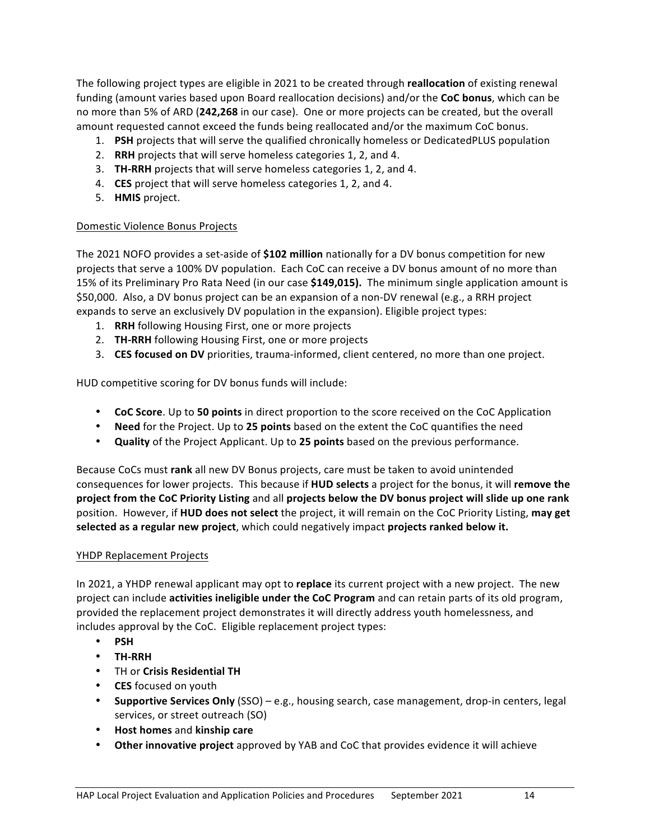The following project types are eligible in 2021 to be created through **reallocation** of existing renewal funding (amount varies based upon Board reallocation decisions) and/or the **CoC bonus**, which can be no more than 5% of ARD (242,268 in our case). One or more projects can be created, but the overall amount requested cannot exceed the funds being reallocated and/or the maximum CoC bonus.

- 1. **PSH** projects that will serve the qualified chronically homeless or DedicatedPLUS population
- 2. RRH projects that will serve homeless categories 1, 2, and 4.
- 3. TH-RRH projects that will serve homeless categories 1, 2, and 4.
- 4. CES project that will serve homeless categories 1, 2, and 4.
- 5. **HMIS** project.

#### Domestic Violence Bonus Projects

The 2021 NOFO provides a set-aside of **\$102 million** nationally for a DV bonus competition for new projects that serve a 100% DV population. Each CoC can receive a DV bonus amount of no more than 15% of its Preliminary Pro Rata Need (in our case **\$149,015).** The minimum single application amount is \$50,000. Also, a DV bonus project can be an expansion of a non-DV renewal (e.g., a RRH project expands to serve an exclusively DV population in the expansion). Eligible project types:

- 1. **RRH** following Housing First, one or more projects
- 2. **TH-RRH** following Housing First, one or more projects
- 3. **CES focused on DV** priorities, trauma-informed, client centered, no more than one project.

HUD competitive scoring for DV bonus funds will include:

- **CoC Score**. Up to **50 points** in direct proportion to the score received on the CoC Application
- **Need** for the Project. Up to 25 points based on the extent the CoC quantifies the need
- **Quality** of the Project Applicant. Up to 25 points based on the previous performance.

Because CoCs must rank all new DV Bonus projects, care must be taken to avoid unintended consequences for lower projects. This because if **HUD selects** a project for the bonus, it will remove the **project from the CoC Priority Listing** and all **projects below the DV bonus project will slide up one rank** position. However, if HUD does not select the project, it will remain on the CoC Priority Listing, may get selected as a regular new project, which could negatively impact projects ranked below it.

#### YHDP Replacement Projects

In 2021, a YHDP renewal applicant may opt to **replace** its current project with a new project. The new project can include **activities ineligible under the CoC Program** and can retain parts of its old program, provided the replacement project demonstrates it will directly address youth homelessness, and includes approval by the CoC. Eligible replacement project types:

- **PSH**
- **TH-RRH**
- TH or **Crisis Residential TH**
- **CES** focused on youth
- Supportive Services Only (SSO) e.g., housing search, case management, drop-in centers, legal services, or street outreach (SO)
- **Host homes** and **kinship care**
- **Other innovative project** approved by YAB and CoC that provides evidence it will achieve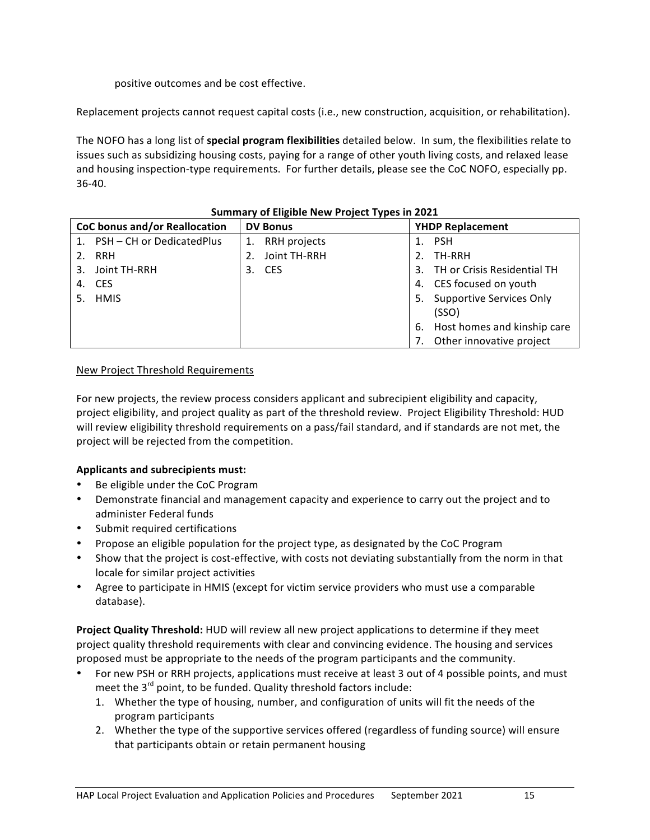positive outcomes and be cost effective.

Replacement projects cannot request capital costs (i.e., new construction, acquisition, or rehabilitation).

The NOFO has a long list of special program flexibilities detailed below. In sum, the flexibilities relate to issues such as subsidizing housing costs, paying for a range of other youth living costs, and relaxed lease and housing inspection-type requirements. For further details, please see the CoC NOFO, especially pp. 36-40. 

| CoC bonus and/or Reallocation | <b>DV Bonus</b>    | <b>YHDP Replacement</b>               |
|-------------------------------|--------------------|---------------------------------------|
| 1. PSH - CH or DedicatedPlus  | RRH projects<br>1. | 1. PSH                                |
| 2. RRH                        | Joint TH-RRH<br>2. | TH-RRH<br>2.                          |
| 3. Joint TH-RRH               | <b>CES</b><br>3.   | 3. TH or Crisis Residential TH        |
| 4. CES                        |                    | 4. CES focused on youth               |
| 5. HMIS                       |                    | <b>Supportive Services Only</b><br>5. |
|                               |                    | (SSO)                                 |
|                               |                    | 6. Host homes and kinship care        |
|                               |                    | Other innovative project              |

### **Summary of Eligible New Project Types in 2021**

#### New Project Threshold Requirements

For new projects, the review process considers applicant and subrecipient eligibility and capacity, project eligibility, and project quality as part of the threshold review. Project Eligibility Threshold: HUD will review eligibility threshold requirements on a pass/fail standard, and if standards are not met, the project will be rejected from the competition.

### Applicants and subrecipients must:

- Be eligible under the CoC Program
- Demonstrate financial and management capacity and experience to carry out the project and to administer Federal funds
- Submit required certifications
- Propose an eligible population for the project type, as designated by the CoC Program
- Show that the project is cost-effective, with costs not deviating substantially from the norm in that locale for similar project activities
- Agree to participate in HMIS (except for victim service providers who must use a comparable database).

**Project Quality Threshold:** HUD will review all new project applications to determine if they meet project quality threshold requirements with clear and convincing evidence. The housing and services proposed must be appropriate to the needs of the program participants and the community.

- For new PSH or RRH projects, applications must receive at least 3 out of 4 possible points, and must meet the  $3^{rd}$  point, to be funded. Quality threshold factors include:
	- 1. Whether the type of housing, number, and configuration of units will fit the needs of the program participants
	- 2. Whether the type of the supportive services offered (regardless of funding source) will ensure that participants obtain or retain permanent housing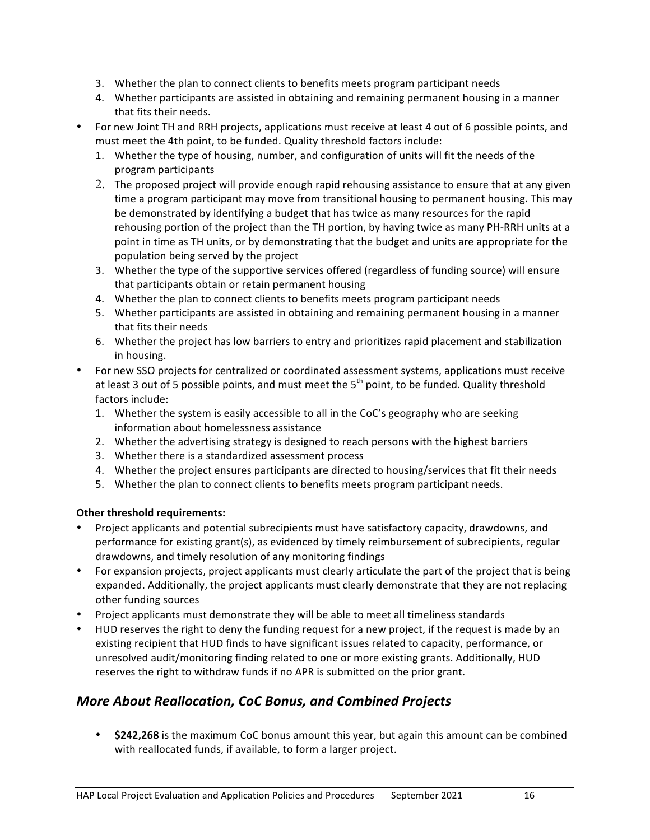- 3. Whether the plan to connect clients to benefits meets program participant needs
- 4. Whether participants are assisted in obtaining and remaining permanent housing in a manner that fits their needs.
- For new Joint TH and RRH projects, applications must receive at least 4 out of 6 possible points, and must meet the 4th point, to be funded. Quality threshold factors include:
	- 1. Whether the type of housing, number, and configuration of units will fit the needs of the program participants
	- 2. The proposed project will provide enough rapid rehousing assistance to ensure that at any given time a program participant may move from transitional housing to permanent housing. This may be demonstrated by identifying a budget that has twice as many resources for the rapid rehousing portion of the project than the TH portion, by having twice as many PH-RRH units at a point in time as TH units, or by demonstrating that the budget and units are appropriate for the population being served by the project
	- 3. Whether the type of the supportive services offered (regardless of funding source) will ensure that participants obtain or retain permanent housing
	- 4. Whether the plan to connect clients to benefits meets program participant needs
	- 5. Whether participants are assisted in obtaining and remaining permanent housing in a manner that fits their needs
	- 6. Whether the project has low barriers to entry and prioritizes rapid placement and stabilization in housing.
- For new SSO projects for centralized or coordinated assessment systems, applications must receive at least 3 out of 5 possible points, and must meet the  $5<sup>th</sup>$  point, to be funded. Quality threshold factors include:
	- 1. Whether the system is easily accessible to all in the CoC's geography who are seeking information about homelessness assistance
	- 2. Whether the advertising strategy is designed to reach persons with the highest barriers
	- 3. Whether there is a standardized assessment process
	- 4. Whether the project ensures participants are directed to housing/services that fit their needs
	- 5. Whether the plan to connect clients to benefits meets program participant needs.

### **Other threshold requirements:**

- Project applicants and potential subrecipients must have satisfactory capacity, drawdowns, and performance for existing grant(s), as evidenced by timely reimbursement of subrecipients, regular drawdowns, and timely resolution of any monitoring findings
- For expansion projects, project applicants must clearly articulate the part of the project that is being expanded. Additionally, the project applicants must clearly demonstrate that they are not replacing other funding sources
- Project applicants must demonstrate they will be able to meet all timeliness standards
- HUD reserves the right to deny the funding request for a new project, if the request is made by an existing recipient that HUD finds to have significant issues related to capacity, performance, or unresolved audit/monitoring finding related to one or more existing grants. Additionally, HUD reserves the right to withdraw funds if no APR is submitted on the prior grant.

### *More About Reallocation, CoC Bonus, and Combined Projects*

• **\$242,268** is the maximum CoC bonus amount this year, but again this amount can be combined with reallocated funds, if available, to form a larger project.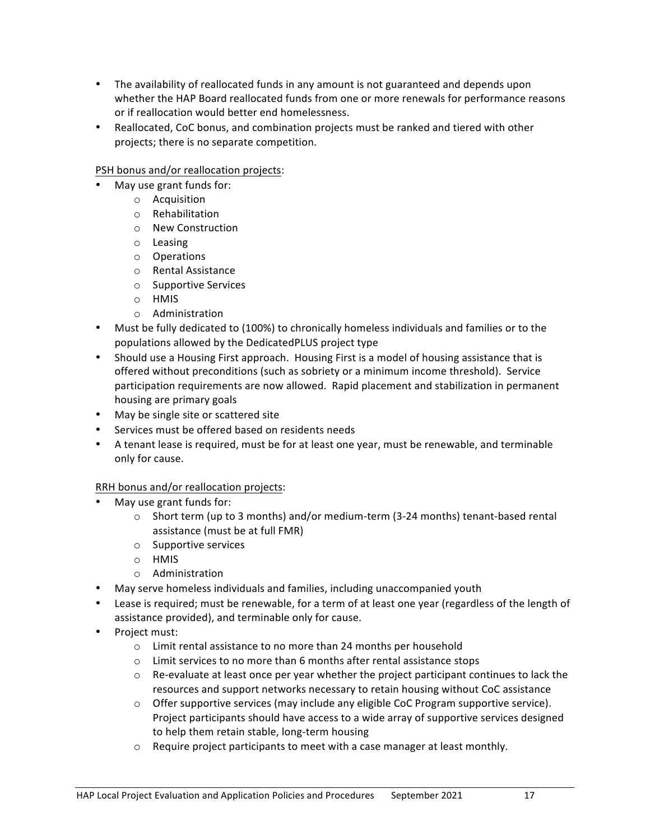- The availability of reallocated funds in any amount is not guaranteed and depends upon whether the HAP Board reallocated funds from one or more renewals for performance reasons or if reallocation would better end homelessness.
- Reallocated, CoC bonus, and combination projects must be ranked and tiered with other projects; there is no separate competition.

### PSH bonus and/or reallocation projects:

- May use grant funds for:
	- o Acquisition
	- o Rehabilitation
	- o New Construction
	- o Leasing
	- o Operations
	- o Rental Assistance
	- o Supportive Services
	- o HMIS
	- o Administration
- Must be fully dedicated to (100%) to chronically homeless individuals and families or to the populations allowed by the DedicatedPLUS project type
- Should use a Housing First approach. Housing First is a model of housing assistance that is offered without preconditions (such as sobriety or a minimum income threshold). Service participation requirements are now allowed. Rapid placement and stabilization in permanent housing are primary goals
- May be single site or scattered site
- Services must be offered based on residents needs
- A tenant lease is required, must be for at least one year, must be renewable, and terminable only for cause.

#### RRH bonus and/or reallocation projects:

- May use grant funds for:
	- $\circ$  Short term (up to 3 months) and/or medium-term (3-24 months) tenant-based rental assistance (must be at full FMR)
	- $\circ$  Supportive services
	- o HMIS
	- o Administration
- May serve homeless individuals and families, including unaccompanied youth
- Lease is required; must be renewable, for a term of at least one year (regardless of the length of assistance provided), and terminable only for cause.
- Project must:
	- $\circ$  Limit rental assistance to no more than 24 months per household
	- $\circ$  Limit services to no more than 6 months after rental assistance stops
	- $\circ$  Re-evaluate at least once per year whether the project participant continues to lack the resources and support networks necessary to retain housing without CoC assistance
	- $\circ$  Offer supportive services (may include any eligible CoC Program supportive service). Project participants should have access to a wide array of supportive services designed to help them retain stable, long-term housing
	- $\circ$  Require project participants to meet with a case manager at least monthly.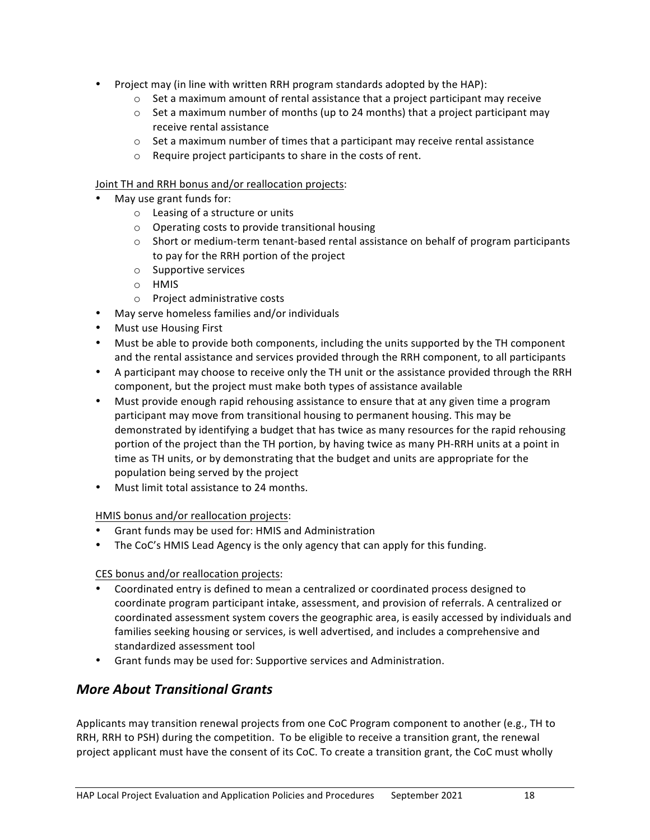- Project may (in line with written RRH program standards adopted by the HAP):
	- $\circ$  Set a maximum amount of rental assistance that a project participant may receive
	- $\circ$  Set a maximum number of months (up to 24 months) that a project participant may receive rental assistance
	- $\circ$  Set a maximum number of times that a participant may receive rental assistance
	- $\circ$  Require project participants to share in the costs of rent.

#### Joint TH and RRH bonus and/or reallocation projects:

- May use grant funds for:
	- $\circ$  Leasing of a structure or units
	- $\circ$  Operating costs to provide transitional housing
	- $\circ$  Short or medium-term tenant-based rental assistance on behalf of program participants to pay for the RRH portion of the project
	- $\circ$  Supportive services
	- o HMIS
	- $\circ$  Project administrative costs
- May serve homeless families and/or individuals
- Must use Housing First
- Must be able to provide both components, including the units supported by the TH component and the rental assistance and services provided through the RRH component, to all participants
- A participant may choose to receive only the TH unit or the assistance provided through the RRH component, but the project must make both types of assistance available
- Must provide enough rapid rehousing assistance to ensure that at any given time a program participant may move from transitional housing to permanent housing. This may be demonstrated by identifying a budget that has twice as many resources for the rapid rehousing portion of the project than the TH portion, by having twice as many PH-RRH units at a point in time as TH units, or by demonstrating that the budget and units are appropriate for the population being served by the project
- Must limit total assistance to 24 months.

#### HMIS bonus and/or reallocation projects:

- Grant funds may be used for: HMIS and Administration
- The CoC's HMIS Lead Agency is the only agency that can apply for this funding.

#### CES bonus and/or reallocation projects:

- Coordinated entry is defined to mean a centralized or coordinated process designed to coordinate program participant intake, assessment, and provision of referrals. A centralized or coordinated assessment system covers the geographic area, is easily accessed by individuals and families seeking housing or services, is well advertised, and includes a comprehensive and standardized assessment tool
- Grant funds may be used for: Supportive services and Administration.

### *More About Transitional Grants*

Applicants may transition renewal projects from one CoC Program component to another (e.g., TH to RRH, RRH to PSH) during the competition. To be eligible to receive a transition grant, the renewal project applicant must have the consent of its CoC. To create a transition grant, the CoC must wholly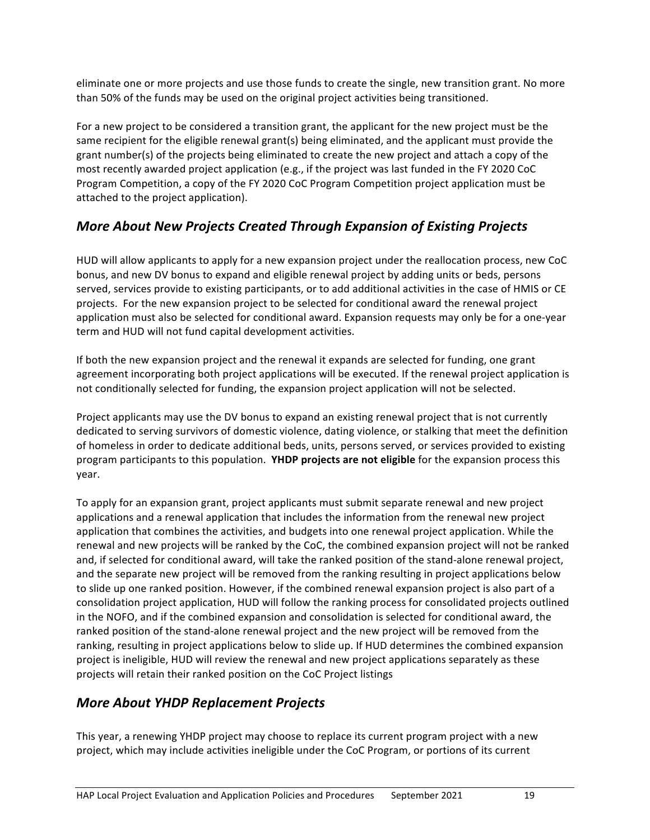eliminate one or more projects and use those funds to create the single, new transition grant. No more than 50% of the funds may be used on the original project activities being transitioned.

For a new project to be considered a transition grant, the applicant for the new project must be the same recipient for the eligible renewal grant(s) being eliminated, and the applicant must provide the grant number(s) of the projects being eliminated to create the new project and attach a copy of the most recently awarded project application (e.g., if the project was last funded in the FY 2020 CoC Program Competition, a copy of the FY 2020 CoC Program Competition project application must be attached to the project application).

## **More About New Projects Created Through Expansion of Existing Projects**

HUD will allow applicants to apply for a new expansion project under the reallocation process, new CoC bonus, and new DV bonus to expand and eligible renewal project by adding units or beds, persons served, services provide to existing participants, or to add additional activities in the case of HMIS or CE projects. For the new expansion project to be selected for conditional award the renewal project application must also be selected for conditional award. Expansion requests may only be for a one-year term and HUD will not fund capital development activities.

If both the new expansion project and the renewal it expands are selected for funding, one grant agreement incorporating both project applications will be executed. If the renewal project application is not conditionally selected for funding, the expansion project application will not be selected.

Project applicants may use the DV bonus to expand an existing renewal project that is not currently dedicated to serving survivors of domestic violence, dating violence, or stalking that meet the definition of homeless in order to dedicate additional beds, units, persons served, or services provided to existing program participants to this population. YHDP projects are not eligible for the expansion process this year.

To apply for an expansion grant, project applicants must submit separate renewal and new project applications and a renewal application that includes the information from the renewal new project application that combines the activities, and budgets into one renewal project application. While the renewal and new projects will be ranked by the CoC, the combined expansion project will not be ranked and, if selected for conditional award, will take the ranked position of the stand-alone renewal project, and the separate new project will be removed from the ranking resulting in project applications below to slide up one ranked position. However, if the combined renewal expansion project is also part of a consolidation project application, HUD will follow the ranking process for consolidated projects outlined in the NOFO, and if the combined expansion and consolidation is selected for conditional award, the ranked position of the stand-alone renewal project and the new project will be removed from the ranking, resulting in project applications below to slide up. If HUD determines the combined expansion project is ineligible, HUD will review the renewal and new project applications separately as these projects will retain their ranked position on the CoC Project listings

### *More About YHDP Replacement Projects*

This year, a renewing YHDP project may choose to replace its current program project with a new project, which may include activities ineligible under the CoC Program, or portions of its current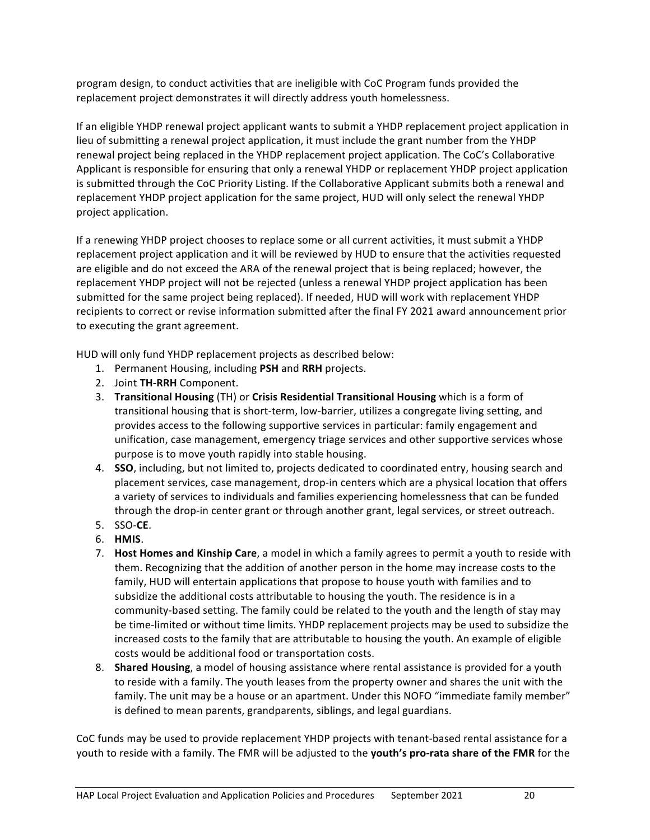program design, to conduct activities that are ineligible with CoC Program funds provided the replacement project demonstrates it will directly address youth homelessness.

If an eligible YHDP renewal project applicant wants to submit a YHDP replacement project application in lieu of submitting a renewal project application, it must include the grant number from the YHDP renewal project being replaced in the YHDP replacement project application. The CoC's Collaborative Applicant is responsible for ensuring that only a renewal YHDP or replacement YHDP project application is submitted through the CoC Priority Listing. If the Collaborative Applicant submits both a renewal and replacement YHDP project application for the same project, HUD will only select the renewal YHDP project application.

If a renewing YHDP project chooses to replace some or all current activities, it must submit a YHDP replacement project application and it will be reviewed by HUD to ensure that the activities requested are eligible and do not exceed the ARA of the renewal project that is being replaced; however, the replacement YHDP project will not be rejected (unless a renewal YHDP project application has been submitted for the same project being replaced). If needed, HUD will work with replacement YHDP recipients to correct or revise information submitted after the final FY 2021 award announcement prior to executing the grant agreement.

HUD will only fund YHDP replacement projects as described below:

- 1. Permanent Housing, including PSH and RRH projects.
- 2. Joint **TH-RRH** Component.
- 3. **Transitional Housing** (TH) or **Crisis Residential Transitional Housing** which is a form of transitional housing that is short-term, low-barrier, utilizes a congregate living setting, and provides access to the following supportive services in particular: family engagement and unification, case management, emergency triage services and other supportive services whose purpose is to move youth rapidly into stable housing.
- 4. **SSO**, including, but not limited to, projects dedicated to coordinated entry, housing search and placement services, case management, drop-in centers which are a physical location that offers a variety of services to individuals and families experiencing homelessness that can be funded through the drop-in center grant or through another grant, legal services, or street outreach.
- 5. SSO-**CE**.
- 6. **HMIS**.
- 7. **Host Homes and Kinship Care**, a model in which a family agrees to permit a youth to reside with them. Recognizing that the addition of another person in the home may increase costs to the family, HUD will entertain applications that propose to house youth with families and to subsidize the additional costs attributable to housing the youth. The residence is in a community-based setting. The family could be related to the youth and the length of stay may be time-limited or without time limits. YHDP replacement projects may be used to subsidize the increased costs to the family that are attributable to housing the youth. An example of eligible costs would be additional food or transportation costs.
- 8. **Shared Housing**, a model of housing assistance where rental assistance is provided for a youth to reside with a family. The youth leases from the property owner and shares the unit with the family. The unit may be a house or an apartment. Under this NOFO "immediate family member" is defined to mean parents, grandparents, siblings, and legal guardians.

CoC funds may be used to provide replacement YHDP projects with tenant-based rental assistance for a youth to reside with a family. The FMR will be adjusted to the youth's pro-rata share of the FMR for the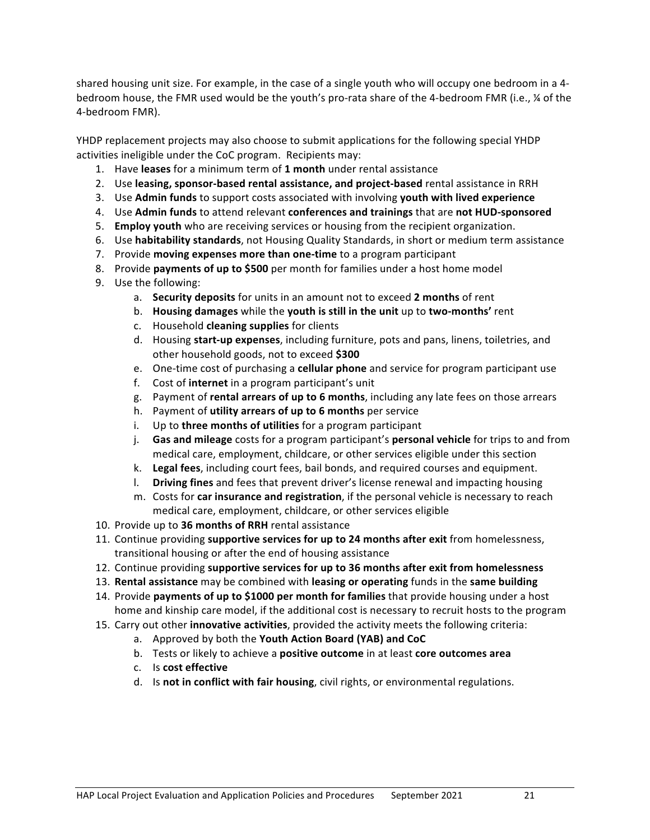shared housing unit size. For example, in the case of a single youth who will occupy one bedroom in a 4bedroom house, the FMR used would be the youth's pro-rata share of the 4-bedroom FMR (i.e., ¼ of the 4-bedroom FMR).

YHDP replacement projects may also choose to submit applications for the following special YHDP activities ineligible under the CoC program. Recipients may:

- 1. Have leases for a minimum term of 1 month under rental assistance
- 2. Use leasing, sponsor-based rental assistance, and project-based rental assistance in RRH
- 3. Use Admin funds to support costs associated with involving youth with lived experience
- 4. Use Admin funds to attend relevant conferences and trainings that are not HUD-sponsored
- 5. **Employ youth** who are receiving services or housing from the recipient organization.
- 6. Use **habitability standards**, not Housing Quality Standards, in short or medium term assistance
- 7. Provide **moving expenses more than one-time** to a program participant
- 8. Provide **payments of up to \$500** per month for families under a host home model
- 9. Use the following:
	- a. Security deposits for units in an amount not to exceed 2 months of rent
	- b. Housing damages while the youth is still in the unit up to two-months' rent
	- c. Household **cleaning supplies** for clients
	- d. Housing start-up expenses, including furniture, pots and pans, linens, toiletries, and other household goods, not to exceed \$300
	- e. One-time cost of purchasing a **cellular phone** and service for program participant use
	- f. Cost of **internet** in a program participant's unit
	- g. Payment of rental arrears of up to 6 months, including any late fees on those arrears
	- h. Payment of **utility arrears of up to 6 months** per service
	- i. Up to **three months of utilities** for a program participant
	- **j. Gas and mileage** costs for a program participant's **personal vehicle** for trips to and from medical care, employment, childcare, or other services eligible under this section
	- k. Legal fees, including court fees, bail bonds, and required courses and equipment.
	- **1.** Driving fines and fees that prevent driver's license renewal and impacting housing
	- m. Costs for **car insurance and registration**, if the personal vehicle is necessary to reach medical care, employment, childcare, or other services eligible
- 10. Provide up to 36 months of RRH rental assistance
- 11. Continue providing **supportive services for up to 24 months after exit** from homelessness, transitional housing or after the end of housing assistance
- 12. Continue providing supportive services for up to 36 months after exit from homelessness
- 13. Rental assistance may be combined with leasing or operating funds in the same building
- 14. Provide **payments of up to \$1000 per month for families** that provide housing under a host home and kinship care model, if the additional cost is necessary to recruit hosts to the program
- 15. Carry out other *innovative activities*, provided the activity meets the following criteria:
	- a. Approved by both the **Youth Action Board (YAB) and CoC**
	- b. Tests or likely to achieve a **positive outcome** in at least **core outcomes area**
	- c. Is **cost effective**
	- d. Is not in conflict with fair housing, civil rights, or environmental regulations.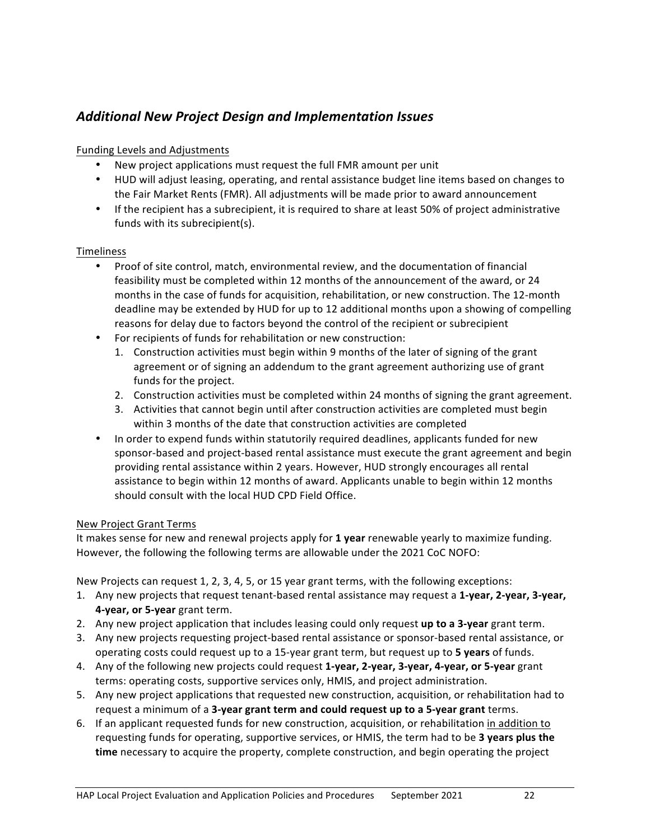## *Additional New Project Design and Implementation Issues*

### Funding Levels and Adjustments

- New project applications must request the full FMR amount per unit
- HUD will adjust leasing, operating, and rental assistance budget line items based on changes to the Fair Market Rents (FMR). All adjustments will be made prior to award announcement
- If the recipient has a subrecipient, it is required to share at least 50% of project administrative funds with its subrecipient(s).

### Timeliness

- Proof of site control, match, environmental review, and the documentation of financial feasibility must be completed within 12 months of the announcement of the award, or 24 months in the case of funds for acquisition, rehabilitation, or new construction. The 12-month deadline may be extended by HUD for up to 12 additional months upon a showing of compelling reasons for delay due to factors beyond the control of the recipient or subrecipient
- For recipients of funds for rehabilitation or new construction:
	- 1. Construction activities must begin within 9 months of the later of signing of the grant agreement or of signing an addendum to the grant agreement authorizing use of grant funds for the project.
	- 2. Construction activities must be completed within 24 months of signing the grant agreement.
	- 3. Activities that cannot begin until after construction activities are completed must begin within 3 months of the date that construction activities are completed
- In order to expend funds within statutorily required deadlines, applicants funded for new sponsor-based and project-based rental assistance must execute the grant agreement and begin providing rental assistance within 2 years. However, HUD strongly encourages all rental assistance to begin within 12 months of award. Applicants unable to begin within 12 months should consult with the local HUD CPD Field Office.

#### New Project Grant Terms

It makes sense for new and renewal projects apply for 1 year renewable yearly to maximize funding. However, the following the following terms are allowable under the 2021 CoC NOFO:

New Projects can request 1, 2, 3, 4, 5, or 15 year grant terms, with the following exceptions:

- 1. Any new projects that request tenant-based rental assistance may request a 1-year, 2-year, 3-year, **4-year, or 5-year** grant term.
- 2. Any new project application that includes leasing could only request up to a 3-year grant term.
- 3. Any new projects requesting project-based rental assistance or sponsor-based rental assistance, or operating costs could request up to a 15-year grant term, but request up to 5 years of funds.
- 4. Any of the following new projects could request 1-year, 2-year, 3-year, 4-year, or 5-year grant terms: operating costs, supportive services only, HMIS, and project administration.
- 5. Any new project applications that requested new construction, acquisition, or rehabilitation had to request a minimum of a 3-year grant term and could request up to a 5-year grant terms.
- 6. If an applicant requested funds for new construction, acquisition, or rehabilitation in addition to requesting funds for operating, supportive services, or HMIS, the term had to be 3 years plus the time necessary to acquire the property, complete construction, and begin operating the project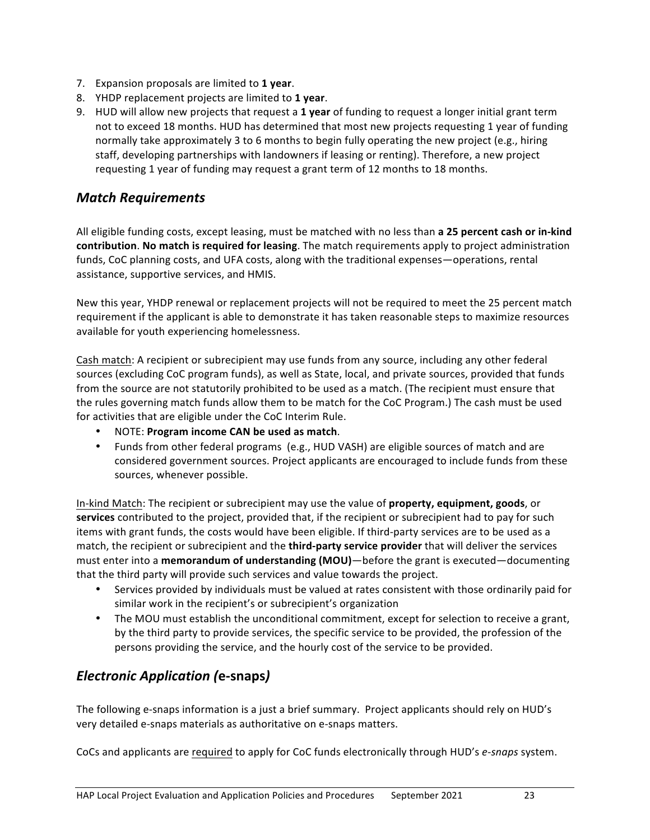- 7. Expansion proposals are limited to 1 year.
- 8. YHDP replacement projects are limited to 1 year.
- 9. HUD will allow new projects that request a 1 year of funding to request a longer initial grant term not to exceed 18 months. HUD has determined that most new projects requesting 1 year of funding normally take approximately 3 to 6 months to begin fully operating the new project (e.g., hiring staff, developing partnerships with landowners if leasing or renting). Therefore, a new project requesting 1 year of funding may request a grant term of 12 months to 18 months.

### *Match Requirements*

All eligible funding costs, except leasing, must be matched with no less than **a 25 percent cash or in-kind contribution.** No match is required for leasing. The match requirements apply to project administration funds, CoC planning costs, and UFA costs, along with the traditional expenses—operations, rental assistance, supportive services, and HMIS.

New this year, YHDP renewal or replacement projects will not be required to meet the 25 percent match requirement if the applicant is able to demonstrate it has taken reasonable steps to maximize resources available for youth experiencing homelessness.

Cash match: A recipient or subrecipient may use funds from any source, including any other federal sources (excluding CoC program funds), as well as State, local, and private sources, provided that funds from the source are not statutorily prohibited to be used as a match. (The recipient must ensure that the rules governing match funds allow them to be match for the CoC Program.) The cash must be used for activities that are eligible under the CoC Interim Rule.

- NOTE: **Program income CAN be used as match**.
- Funds from other federal programs (e.g., HUD VASH) are eligible sources of match and are considered government sources. Project applicants are encouraged to include funds from these sources, whenever possible.

In-kind Match: The recipient or subrecipient may use the value of **property, equipment, goods**, or **services** contributed to the project, provided that, if the recipient or subrecipient had to pay for such items with grant funds, the costs would have been eligible. If third-party services are to be used as a match, the recipient or subrecipient and the **third-party service provider** that will deliver the services must enter into a **memorandum of understanding (MOU)**—before the grant is executed—documenting that the third party will provide such services and value towards the project.

- Services provided by individuals must be valued at rates consistent with those ordinarily paid for similar work in the recipient's or subrecipient's organization
- The MOU must establish the unconditional commitment, except for selection to receive a grant, by the third party to provide services, the specific service to be provided, the profession of the persons providing the service, and the hourly cost of the service to be provided.

### *Electronic Application (***e-snaps***)*

The following e-snaps information is a just a brief summary. Project applicants should rely on HUD's very detailed e-snaps materials as authoritative on e-snaps matters.

CoCs and applicants are required to apply for CoC funds electronically through HUD's *e-snaps* system.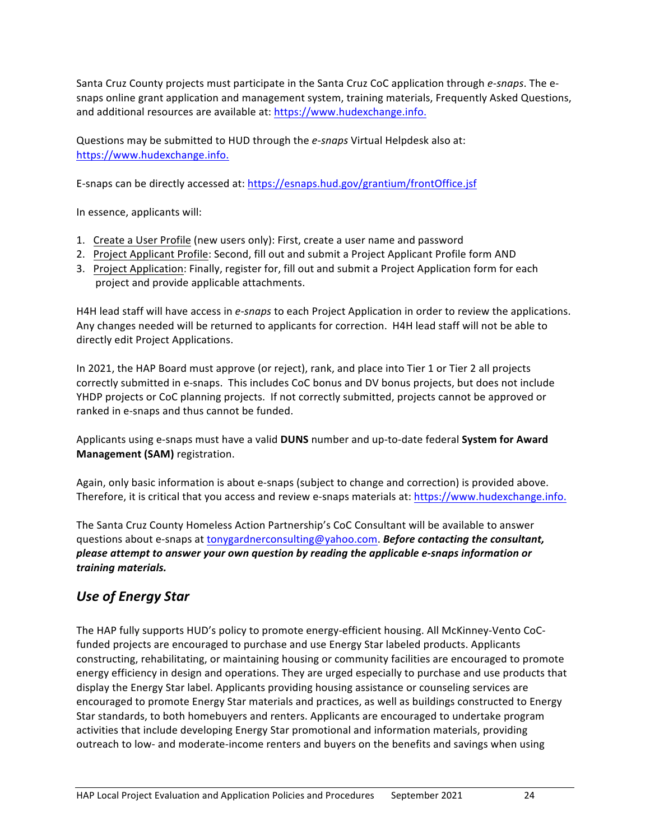Santa Cruz County projects must participate in the Santa Cruz CoC application through *e-snaps*. The esnaps online grant application and management system, training materials, Frequently Asked Questions, and additional resources are available at: https://www.hudexchange.info.

Questions may be submitted to HUD through the *e-snaps* Virtual Helpdesk also at: https://www.hudexchange.info. 

E-snaps can be directly accessed at: https://esnaps.hud.gov/grantium/frontOffice.jsf

In essence, applicants will:

- 1. Create a User Profile (new users only): First, create a user name and password
- 2. Project Applicant Profile: Second, fill out and submit a Project Applicant Profile form AND
- 3. Project Application: Finally, register for, fill out and submit a Project Application form for each project and provide applicable attachments.

H4H lead staff will have access in *e-snaps* to each Project Application in order to review the applications. Any changes needed will be returned to applicants for correction. H4H lead staff will not be able to directly edit Project Applications.

In 2021, the HAP Board must approve (or reject), rank, and place into Tier 1 or Tier 2 all projects correctly submitted in e-snaps. This includes CoC bonus and DV bonus projects, but does not include YHDP projects or CoC planning projects. If not correctly submitted, projects cannot be approved or ranked in e-snaps and thus cannot be funded.

Applicants using e-snaps must have a valid **DUNS** number and up-to-date federal **System for Award Management (SAM)** registration.

Again, only basic information is about e-snaps (subject to change and correction) is provided above. Therefore, it is critical that you access and review e-snaps materials at: https://www.hudexchange.info.

The Santa Cruz County Homeless Action Partnership's CoC Consultant will be available to answer questions about e-snaps at tonygardnerconsulting@yahoo.com. **Before contacting the consultant,** please attempt to answer your own question by reading the applicable e-snaps information or *training materials.*

## *Use of Energy Star*

The HAP fully supports HUD's policy to promote energy-efficient housing. All McKinney-Vento CoCfunded projects are encouraged to purchase and use Energy Star labeled products. Applicants constructing, rehabilitating, or maintaining housing or community facilities are encouraged to promote energy efficiency in design and operations. They are urged especially to purchase and use products that display the Energy Star label. Applicants providing housing assistance or counseling services are encouraged to promote Energy Star materials and practices, as well as buildings constructed to Energy Star standards, to both homebuyers and renters. Applicants are encouraged to undertake program activities that include developing Energy Star promotional and information materials, providing outreach to low- and moderate-income renters and buyers on the benefits and savings when using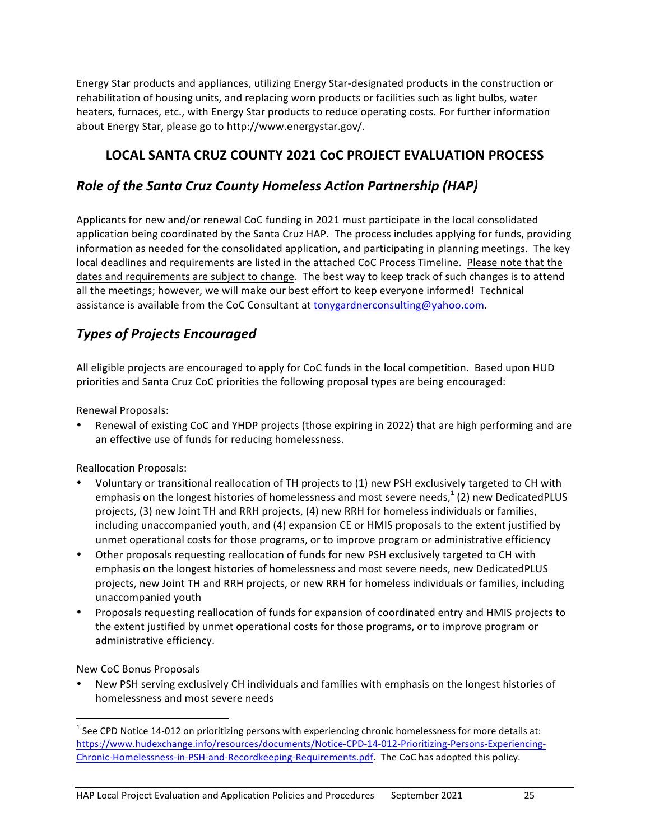Energy Star products and appliances, utilizing Energy Star-designated products in the construction or rehabilitation of housing units, and replacing worn products or facilities such as light bulbs, water heaters, furnaces, etc., with Energy Star products to reduce operating costs. For further information about Energy Star, please go to http://www.energystar.gov/.

## **LOCAL SANTA CRUZ COUNTY 2021 CoC PROJECT EVALUATION PROCESS**

## **Role of the Santa Cruz County Homeless Action Partnership (HAP)**

Applicants for new and/or renewal CoC funding in 2021 must participate in the local consolidated application being coordinated by the Santa Cruz HAP. The process includes applying for funds, providing information as needed for the consolidated application, and participating in planning meetings. The key local deadlines and requirements are listed in the attached CoC Process Timeline. Please note that the dates and requirements are subject to change. The best way to keep track of such changes is to attend all the meetings; however, we will make our best effort to keep everyone informed! Technical assistance is available from the CoC Consultant at tonygardnerconsulting@yahoo.com.

## *Types of Projects Encouraged*

All eligible projects are encouraged to apply for CoC funds in the local competition. Based upon HUD priorities and Santa Cruz CoC priorities the following proposal types are being encouraged:

Renewal Proposals:

Renewal of existing CoC and YHDP projects (those expiring in 2022) that are high performing and are an effective use of funds for reducing homelessness.

Reallocation Proposals:

- Voluntary or transitional reallocation of TH projects to (1) new PSH exclusively targeted to CH with emphasis on the longest histories of homelessness and most severe needs, $1$  (2) new DedicatedPLUS projects, (3) new Joint TH and RRH projects, (4) new RRH for homeless individuals or families, including unaccompanied youth, and (4) expansion CE or HMIS proposals to the extent justified by unmet operational costs for those programs, or to improve program or administrative efficiency
- Other proposals requesting reallocation of funds for new PSH exclusively targeted to CH with emphasis on the longest histories of homelessness and most severe needs, new DedicatedPLUS projects, new Joint TH and RRH projects, or new RRH for homeless individuals or families, including unaccompanied youth
- Proposals requesting reallocation of funds for expansion of coordinated entry and HMIS projects to the extent justified by unmet operational costs for those programs, or to improve program or administrative efficiency.

New CoC Bonus Proposals

New PSH serving exclusively CH individuals and families with emphasis on the longest histories of homelessness and most severe needs

 $1$  See CPD Notice 14-012 on prioritizing persons with experiencing chronic homelessness for more details at: https://www.hudexchange.info/resources/documents/Notice-CPD-14-012-Prioritizing-Persons-Experiencing-Chronic-Homelessness-in-PSH-and-Recordkeeping-Requirements.pdf. The CoC has adopted this policy.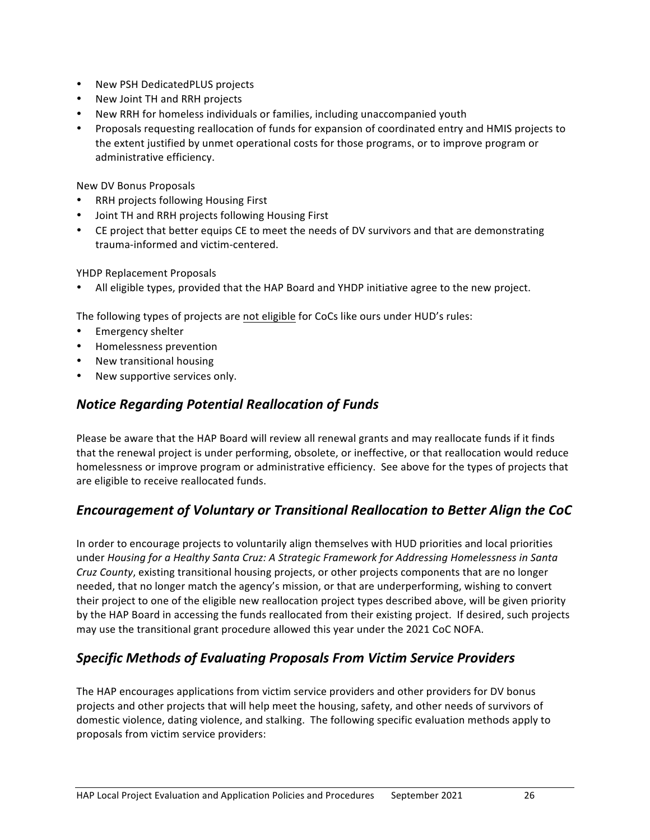- New PSH DedicatedPLUS projects
- New Joint TH and RRH projects
- New RRH for homeless individuals or families, including unaccompanied youth
- Proposals requesting reallocation of funds for expansion of coordinated entry and HMIS projects to the extent justified by unmet operational costs for those programs, or to improve program or administrative efficiency.

New DV Bonus Proposals

- **RRH projects following Housing First**
- Joint TH and RRH projects following Housing First
- CE project that better equips CE to meet the needs of DV survivors and that are demonstrating trauma-informed and victim-centered.

YHDP Replacement Proposals

All eligible types, provided that the HAP Board and YHDP initiative agree to the new project.

The following types of projects are not eligible for CoCs like ours under HUD's rules:

- Emergency shelter
- Homelessness prevention
- New transitional housing
- New supportive services only.

### *Notice Regarding Potential Reallocation of Funds*

Please be aware that the HAP Board will review all renewal grants and may reallocate funds if it finds that the renewal project is under performing, obsolete, or ineffective, or that reallocation would reduce homelessness or improve program or administrative efficiency. See above for the types of projects that are eligible to receive reallocated funds.

### *Encouragement of Voluntary or Transitional Reallocation to Better Align the CoC*

In order to encourage projects to voluntarily align themselves with HUD priorities and local priorities under *Housing for a Healthy Santa Cruz: A Strategic Framework for Addressing Homelessness in Santa Cruz County*, existing transitional housing projects, or other projects components that are no longer needed, that no longer match the agency's mission, or that are underperforming, wishing to convert their project to one of the eligible new reallocation project types described above, will be given priority by the HAP Board in accessing the funds reallocated from their existing project. If desired, such projects may use the transitional grant procedure allowed this year under the 2021 CoC NOFA.

### *Specific Methods of Evaluating Proposals From Victim Service Providers*

The HAP encourages applications from victim service providers and other providers for DV bonus projects and other projects that will help meet the housing, safety, and other needs of survivors of domestic violence, dating violence, and stalking. The following specific evaluation methods apply to proposals from victim service providers: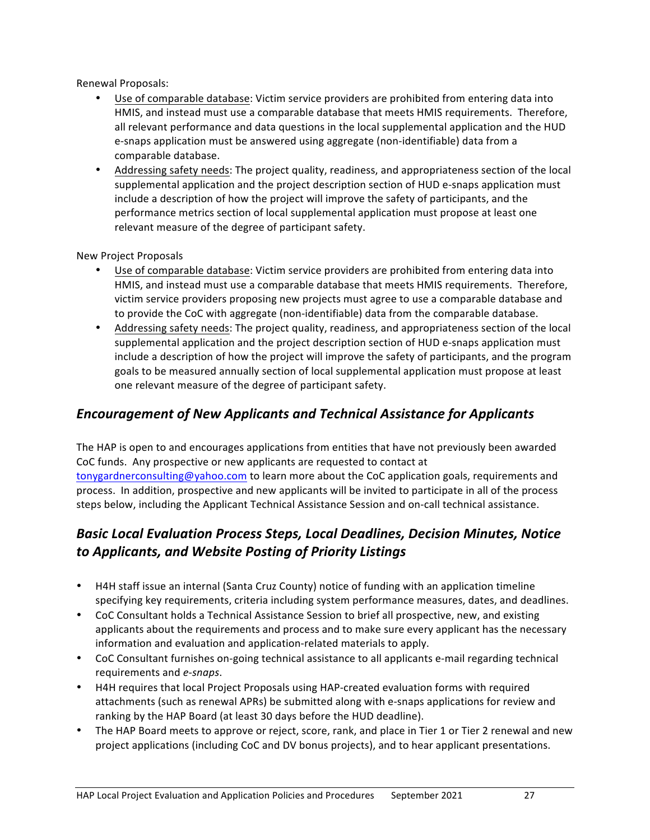Renewal Proposals:

- Use of comparable database: Victim service providers are prohibited from entering data into HMIS, and instead must use a comparable database that meets HMIS requirements. Therefore, all relevant performance and data questions in the local supplemental application and the HUD e-snaps application must be answered using aggregate (non-identifiable) data from a comparable database.
- Addressing safety needs: The project quality, readiness, and appropriateness section of the local supplemental application and the project description section of HUD e-snaps application must include a description of how the project will improve the safety of participants, and the performance metrics section of local supplemental application must propose at least one relevant measure of the degree of participant safety.

#### New Project Proposals

- Use of comparable database: Victim service providers are prohibited from entering data into HMIS, and instead must use a comparable database that meets HMIS requirements. Therefore, victim service providers proposing new projects must agree to use a comparable database and to provide the CoC with aggregate (non-identifiable) data from the comparable database.
- Addressing safety needs: The project quality, readiness, and appropriateness section of the local supplemental application and the project description section of HUD e-snaps application must include a description of how the project will improve the safety of participants, and the program goals to be measured annually section of local supplemental application must propose at least one relevant measure of the degree of participant safety.

### *Encouragement of New Applicants and Technical Assistance for Applicants*

The HAP is open to and encourages applications from entities that have not previously been awarded CoC funds. Any prospective or new applicants are requested to contact at tonygardnerconsulting@yahoo.com to learn more about the CoC application goals, requirements and process. In addition, prospective and new applicants will be invited to participate in all of the process steps below, including the Applicant Technical Assistance Session and on-call technical assistance.

## **Basic Local Evaluation Process Steps, Local Deadlines, Decision Minutes, Notice** *to Applicants, and Website Posting of Priority Listings*

- H4H staff issue an internal (Santa Cruz County) notice of funding with an application timeline specifying key requirements, criteria including system performance measures, dates, and deadlines.
- CoC Consultant holds a Technical Assistance Session to brief all prospective, new, and existing applicants about the requirements and process and to make sure every applicant has the necessary information and evaluation and application-related materials to apply.
- CoC Consultant furnishes on-going technical assistance to all applicants e-mail regarding technical requirements and *e-snaps*.
- H4H requires that local Project Proposals using HAP-created evaluation forms with required attachments (such as renewal APRs) be submitted along with e-snaps applications for review and ranking by the HAP Board (at least 30 days before the HUD deadline).
- The HAP Board meets to approve or reject, score, rank, and place in Tier 1 or Tier 2 renewal and new project applications (including CoC and DV bonus projects), and to hear applicant presentations.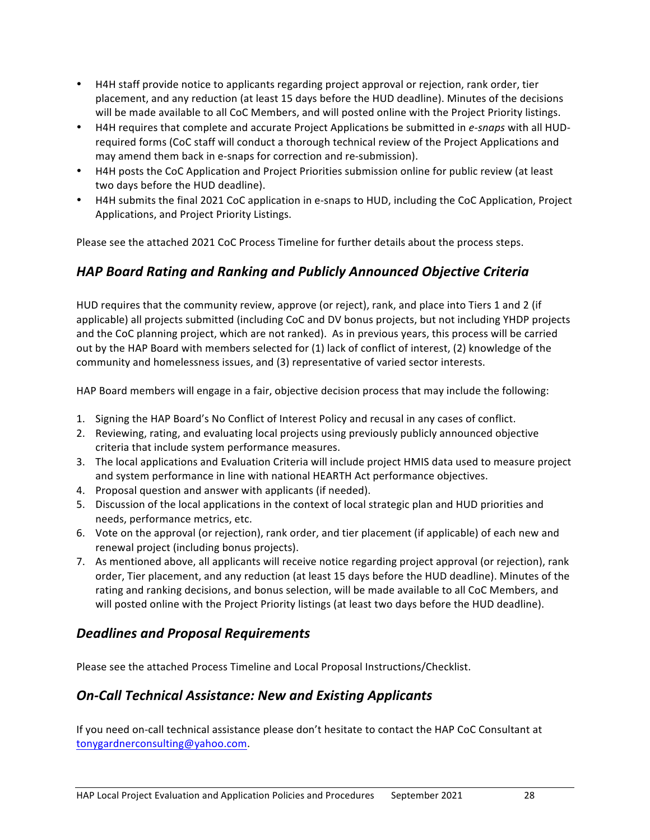- H4H staff provide notice to applicants regarding project approval or rejection, rank order, tier placement, and any reduction (at least 15 days before the HUD deadline). Minutes of the decisions will be made available to all CoC Members, and will posted online with the Project Priority listings.
- H4H requires that complete and accurate Project Applications be submitted in *e-snaps* with all HUDrequired forms (CoC staff will conduct a thorough technical review of the Project Applications and may amend them back in e-snaps for correction and re-submission).
- H4H posts the CoC Application and Project Priorities submission online for public review (at least two days before the HUD deadline).
- H4H submits the final 2021 CoC application in e-snaps to HUD, including the CoC Application, Project Applications, and Project Priority Listings.

Please see the attached 2021 CoC Process Timeline for further details about the process steps.

### *HAP Board Rating and Ranking and Publicly Announced Objective Criteria*

HUD requires that the community review, approve (or reject), rank, and place into Tiers 1 and 2 (if applicable) all projects submitted (including CoC and DV bonus projects, but not including YHDP projects and the CoC planning project, which are not ranked). As in previous years, this process will be carried out by the HAP Board with members selected for (1) lack of conflict of interest, (2) knowledge of the community and homelessness issues, and (3) representative of varied sector interests.

HAP Board members will engage in a fair, objective decision process that may include the following:

- 1. Signing the HAP Board's No Conflict of Interest Policy and recusal in any cases of conflict.
- 2. Reviewing, rating, and evaluating local projects using previously publicly announced objective criteria that include system performance measures.
- 3. The local applications and Evaluation Criteria will include project HMIS data used to measure project and system performance in line with national HEARTH Act performance objectives.
- 4. Proposal question and answer with applicants (if needed).
- 5. Discussion of the local applications in the context of local strategic plan and HUD priorities and needs, performance metrics, etc.
- 6. Vote on the approval (or rejection), rank order, and tier placement (if applicable) of each new and renewal project (including bonus projects).
- 7. As mentioned above, all applicants will receive notice regarding project approval (or rejection), rank order, Tier placement, and any reduction (at least 15 days before the HUD deadline). Minutes of the rating and ranking decisions, and bonus selection, will be made available to all CoC Members, and will posted online with the Project Priority listings (at least two days before the HUD deadline).

### *Deadlines and Proposal Requirements*

Please see the attached Process Timeline and Local Proposal Instructions/Checklist.

### *On-Call Technical Assistance: New and Existing Applicants*

If you need on-call technical assistance please don't hesitate to contact the HAP CoC Consultant at tonygardnerconsulting@yahoo.com.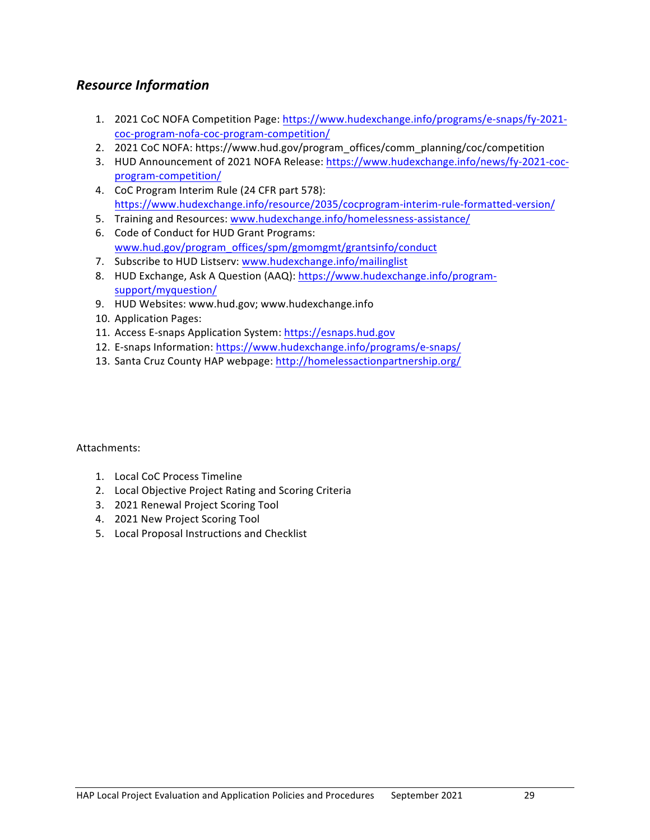### *Resource Information*

- 1. 2021 CoC NOFA Competition Page: https://www.hudexchange.info/programs/e-snaps/fy-2021coc-program-nofa-coc-program-competition/
- 2. 2021 CoC NOFA: https://www.hud.gov/program\_offices/comm\_planning/coc/competition
- 3. HUD Announcement of 2021 NOFA Release: https://www.hudexchange.info/news/fy-2021-cocprogram-competition/
- 4. CoC Program Interim Rule (24 CFR part 578): https://www.hudexchange.info/resource/2035/cocprogram-interim-rule-formatted-version/
- 5. Training and Resources: www.hudexchange.info/homelessness-assistance/
- 6. Code of Conduct for HUD Grant Programs: www.hud.gov/program\_offices/spm/gmomgmt/grantsinfo/conduct
- 7. Subscribe to HUD Listserv: www.hudexchange.info/mailinglist
- 8. HUD Exchange, Ask A Question (AAQ): https://www.hudexchange.info/programsupport/myquestion/
- 9. HUD Websites: www.hud.gov; www.hudexchange.info
- 10. Application Pages:
- 11. Access E-snaps Application System: https://esnaps.hud.gov
- 12. E-snaps Information: https://www.hudexchange.info/programs/e-snaps/
- 13. Santa Cruz County HAP webpage: http://homelessactionpartnership.org/

Attachments:

- 1. Local CoC Process Timeline
- 2. Local Objective Project Rating and Scoring Criteria
- 3. 2021 Renewal Project Scoring Tool
- 4. 2021 New Project Scoring Tool
- 5. Local Proposal Instructions and Checklist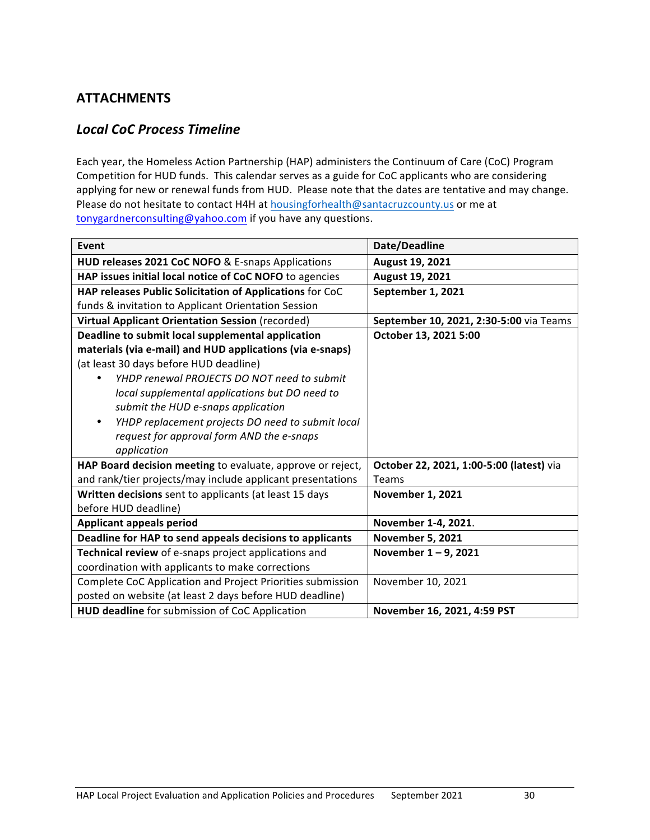## **ATTACHMENTS**

### *Local CoC Process Timeline*

Each year, the Homeless Action Partnership (HAP) administers the Continuum of Care (CoC) Program Competition for HUD funds. This calendar serves as a guide for CoC applicants who are considering applying for new or renewal funds from HUD. Please note that the dates are tentative and may change. Please do not hesitate to contact H4H at housingforhealth@santacruzcounty.us or me at tonygardnerconsulting@yahoo.com if you have any questions.

| Event                                                      | Date/Deadline                            |
|------------------------------------------------------------|------------------------------------------|
| HUD releases 2021 CoC NOFO & E-snaps Applications          | August 19, 2021                          |
| HAP issues initial local notice of CoC NOFO to agencies    | August 19, 2021                          |
| HAP releases Public Solicitation of Applications for CoC   | September 1, 2021                        |
| funds & invitation to Applicant Orientation Session        |                                          |
| <b>Virtual Applicant Orientation Session (recorded)</b>    | September 10, 2021, 2:30-5:00 via Teams  |
| Deadline to submit local supplemental application          | October 13, 2021 5:00                    |
| materials (via e-mail) and HUD applications (via e-snaps)  |                                          |
| (at least 30 days before HUD deadline)                     |                                          |
| YHDP renewal PROJECTS DO NOT need to submit                |                                          |
| local supplemental applications but DO need to             |                                          |
| submit the HUD e-snaps application                         |                                          |
| YHDP replacement projects DO need to submit local<br>٠     |                                          |
| request for approval form AND the e-snaps                  |                                          |
| application                                                |                                          |
| HAP Board decision meeting to evaluate, approve or reject, | October 22, 2021, 1:00-5:00 (latest) via |
| and rank/tier projects/may include applicant presentations | Teams                                    |
| Written decisions sent to applicants (at least 15 days     | <b>November 1, 2021</b>                  |
| before HUD deadline)                                       |                                          |
| <b>Applicant appeals period</b>                            | November 1-4, 2021.                      |
| Deadline for HAP to send appeals decisions to applicants   | <b>November 5, 2021</b>                  |
| Technical review of e-snaps project applications and       | November 1-9, 2021                       |
| coordination with applicants to make corrections           |                                          |
| Complete CoC Application and Project Priorities submission | November 10, 2021                        |
| posted on website (at least 2 days before HUD deadline)    |                                          |
| HUD deadline for submission of CoC Application             | November 16, 2021, 4:59 PST              |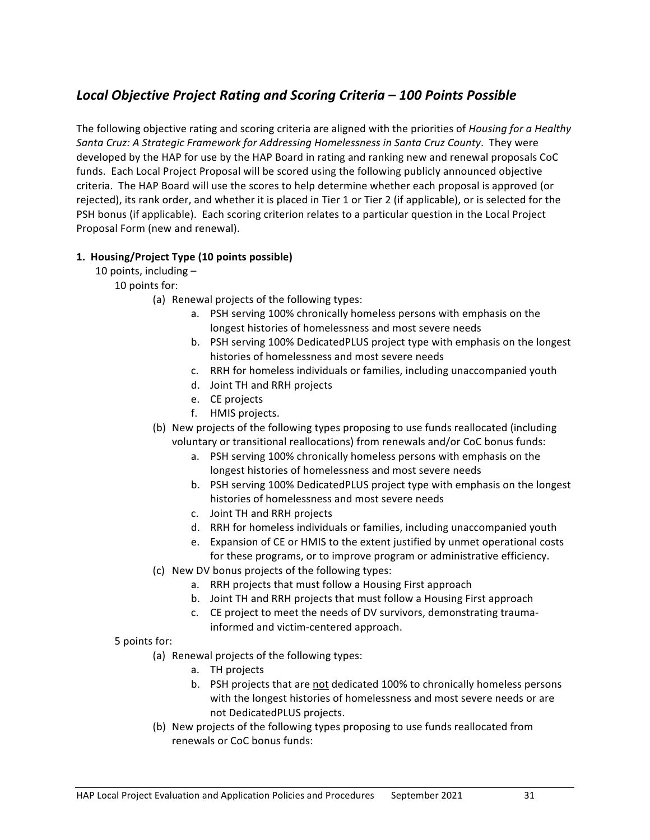## *Local Objective Project Rating and Scoring Criteria – 100 Points Possible*

The following objective rating and scoring criteria are aligned with the priorities of *Housing for a Healthy* Santa Cruz: A Strategic Framework for Addressing Homelessness in Santa Cruz County. They were developed by the HAP for use by the HAP Board in rating and ranking new and renewal proposals CoC funds. Each Local Project Proposal will be scored using the following publicly announced objective criteria. The HAP Board will use the scores to help determine whether each proposal is approved (or rejected), its rank order, and whether it is placed in Tier 1 or Tier 2 (if applicable), or is selected for the PSH bonus (if applicable). Each scoring criterion relates to a particular question in the Local Project Proposal Form (new and renewal).

### **1. Housing/Project Type (10 points possible)**

10 points, including  $-$ 

10 points for:

- (a) Renewal projects of the following types:
	- a. PSH serving 100% chronically homeless persons with emphasis on the longest histories of homelessness and most severe needs
	- b. PSH serving 100% DedicatedPLUS project type with emphasis on the longest histories of homelessness and most severe needs
	- c. RRH for homeless individuals or families, including unaccompanied youth
	- d. Joint TH and RRH projects
	- e. CE projects
	- f. HMIS projects.
- (b) New projects of the following types proposing to use funds reallocated (including voluntary or transitional reallocations) from renewals and/or CoC bonus funds:
	- a. PSH serving 100% chronically homeless persons with emphasis on the longest histories of homelessness and most severe needs
	- b. PSH serving 100% DedicatedPLUS project type with emphasis on the longest histories of homelessness and most severe needs
	- c. Joint TH and RRH projects
	- d. RRH for homeless individuals or families, including unaccompanied youth
	- e. Expansion of CE or HMIS to the extent justified by unmet operational costs for these programs, or to improve program or administrative efficiency.
- (c) New DV bonus projects of the following types:
	- a. RRH projects that must follow a Housing First approach
	- b. Joint TH and RRH projects that must follow a Housing First approach
	- c. CE project to meet the needs of DV survivors, demonstrating traumainformed and victim-centered approach.

#### 5 points for:

- (a) Renewal projects of the following types:
	- a. TH projects
	- b. PSH projects that are not dedicated 100% to chronically homeless persons with the longest histories of homelessness and most severe needs or are not DedicatedPLUS projects.
- (b) New projects of the following types proposing to use funds reallocated from renewals or CoC bonus funds: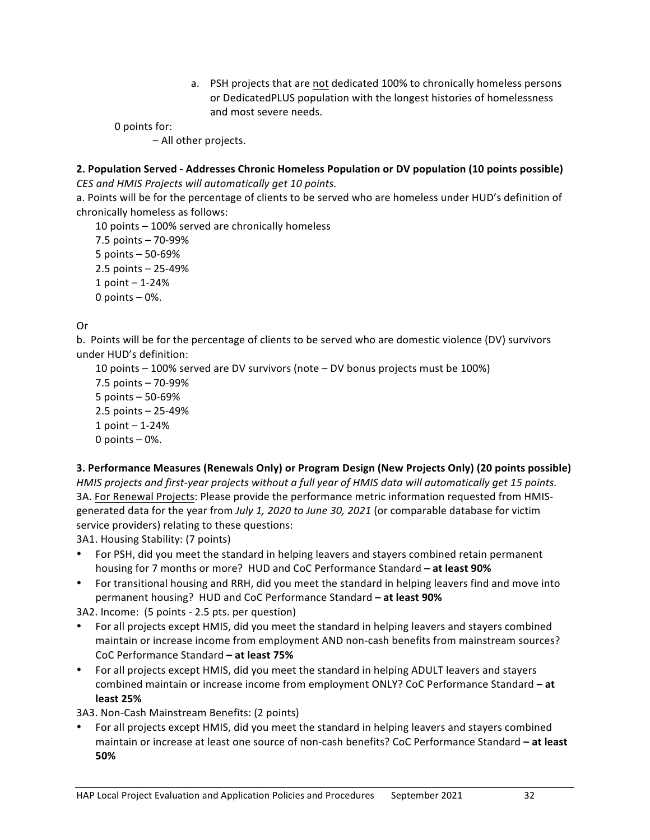a. PSH projects that are not dedicated 100% to chronically homeless persons or DedicatedPLUS population with the longest histories of homelessness and most severe needs.

0 points for:

– All other projects.

### **2. Population Served - Addresses Chronic Homeless Population or DV population (10 points possible)** *CES and HMIS Projects will automatically get 10 points.*

a. Points will be for the percentage of clients to be served who are homeless under HUD's definition of chronically homeless as follows:

10 points  $-$  100% served are chronically homeless 7.5 points – 70-99%  $5$  points  $-50-69%$  $2.5$  points  $- 25 - 49%$  $1$  point  $- 1 - 24$ % 0 points  $-0$ %.

### Or

b. Points will be for the percentage of clients to be served who are domestic violence (DV) survivors under HUD's definition:

10 points  $-$  100% served are DV survivors (note  $-$  DV bonus projects must be 100%)

7.5 points  $-70-99%$  $5$  points  $-50-69%$  $2.5$  points  $- 25 - 49%$  $1$  point  $- 1 - 24$ % 0 points  $-0$ %.

### **3. Performance Measures (Renewals Only) or Program Design (New Projects Only) (20 points possible)**

*HMIS* projects and first-year projects without a full year of HMIS data will automatically get 15 points. 3A. For Renewal Projects: Please provide the performance metric information requested from HMISgenerated data for the year from *July 1, 2020 to June 30, 2021* (or comparable database for victim service providers) relating to these questions:

3A1. Housing Stability: (7 points)

- For PSH, did you meet the standard in helping leavers and stayers combined retain permanent housing for 7 months or more? HUD and CoC Performance Standard – at least 90%
- For transitional housing and RRH, did you meet the standard in helping leavers find and move into permanent housing? HUD and CoC Performance Standard - at least 90%

3A2. Income: (5 points - 2.5 pts. per question)

- For all projects except HMIS, did you meet the standard in helping leavers and stayers combined maintain or increase income from employment AND non-cash benefits from mainstream sources? CoC Performance Standard **– at least 75%**
- For all projects except HMIS, did you meet the standard in helping ADULT leavers and stayers combined maintain or increase income from employment ONLY? CoC Performance Standard - at **least 25%**

3A3. Non-Cash Mainstream Benefits: (2 points)

For all projects except HMIS, did you meet the standard in helping leavers and stayers combined maintain or increase at least one source of non-cash benefits? CoC Performance Standard - at least **50%**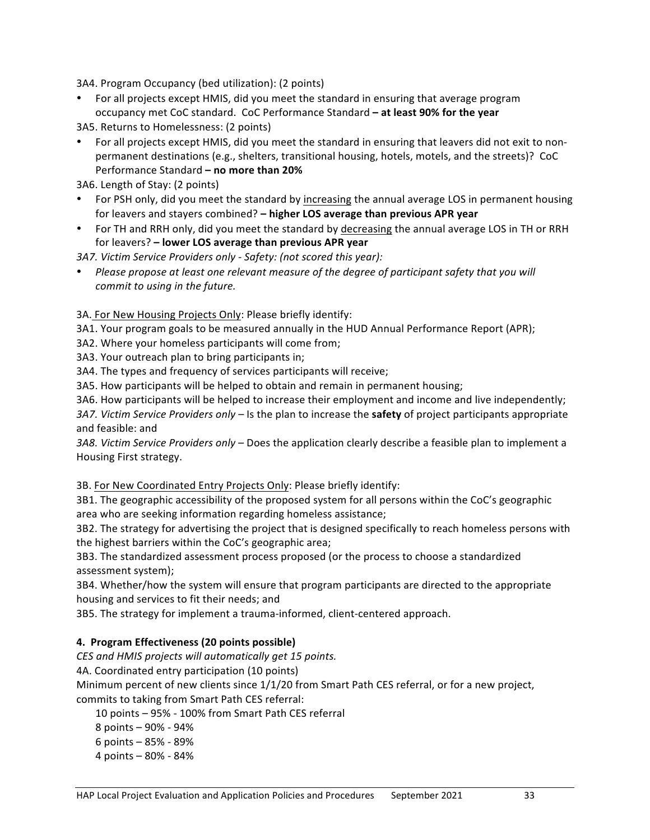3A4. Program Occupancy (bed utilization): (2 points)

- For all projects except HMIS, did you meet the standard in ensuring that average program occupancy met CoC standard. CoC Performance Standard - at least 90% for the year
- 3A5. Returns to Homelessness: (2 points)
- For all projects except HMIS, did you meet the standard in ensuring that leavers did not exit to nonpermanent destinations (e.g., shelters, transitional housing, hotels, motels, and the streets)? CoC Performance Standard - no more than 20%

3A6. Length of Stay: (2 points)

- For PSH only, did you meet the standard by increasing the annual average LOS in permanent housing for leavers and stayers combined? - higher LOS average than previous APR year
- For TH and RRH only, did you meet the standard by decreasing the annual average LOS in TH or RRH for leavers? – **lower LOS average than previous APR year**

*3A7. Victim Service Providers only - Safety: (not scored this year):*

• Please propose at least one relevant measure of the degree of participant safety that you will *commit to using in the future.* 

#### 3A. For New Housing Projects Only: Please briefly identify:

3A1. Your program goals to be measured annually in the HUD Annual Performance Report (APR);

3A2. Where your homeless participants will come from;

3A3. Your outreach plan to bring participants in;

3A4. The types and frequency of services participants will receive;

3A5. How participants will be helped to obtain and remain in permanent housing;

3A6. How participants will be helped to increase their employment and income and live independently;

*3A7. Victim Service Providers only* – Is the plan to increase the **safety** of project participants appropriate and feasible: and

*3A8. Victim Service Providers only* – Does the application clearly describe a feasible plan to implement a Housing First strategy.

3B. For New Coordinated Entry Projects Only: Please briefly identify:

3B1. The geographic accessibility of the proposed system for all persons within the CoC's geographic area who are seeking information regarding homeless assistance;

3B2. The strategy for advertising the project that is designed specifically to reach homeless persons with the highest barriers within the CoC's geographic area;

3B3. The standardized assessment process proposed (or the process to choose a standardized assessment system);

3B4. Whether/how the system will ensure that program participants are directed to the appropriate housing and services to fit their needs; and

3B5. The strategy for implement a trauma-informed, client-centered approach.

#### **4. Program Effectiveness (20 points possible)**

*CES and HMIS projects will automatically get 15 points.*

4A. Coordinated entry participation (10 points)

Minimum percent of new clients since  $1/1/20$  from Smart Path CES referral, or for a new project,

commits to taking from Smart Path CES referral:

10 points - 95% - 100% from Smart Path CES referral

8 points  $-90% - 94%$ 

6 points  $-85% - 89%$ 

4 points – 80% - 84%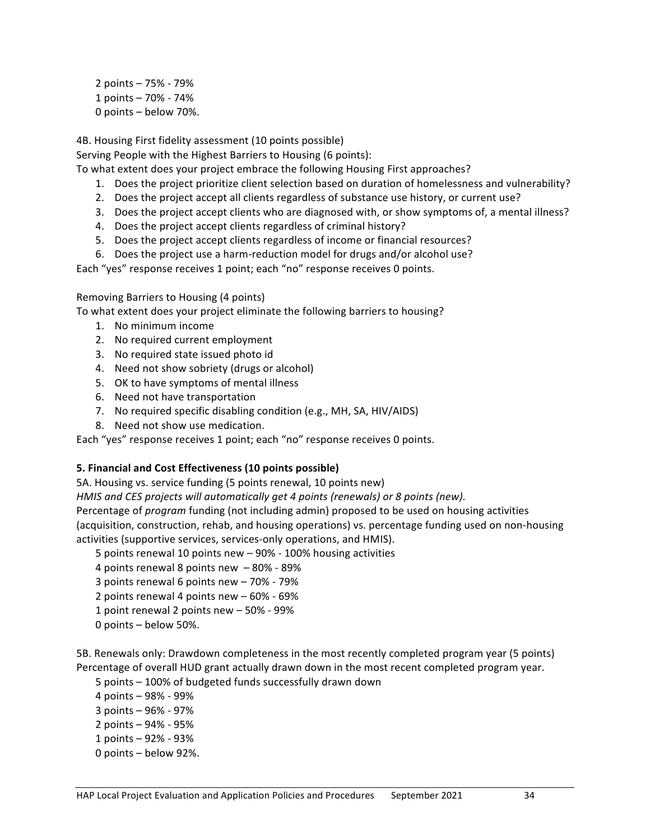2 points – 75% - 79% 1 points – 70% - 74% 0 points - below 70%.

4B. Housing First fidelity assessment (10 points possible)

Serving People with the Highest Barriers to Housing (6 points):

To what extent does your project embrace the following Housing First approaches?

- 1. Does the project prioritize client selection based on duration of homelessness and vulnerability?
- 2. Does the project accept all clients regardless of substance use history, or current use?
- 3. Does the project accept clients who are diagnosed with, or show symptoms of, a mental illness?
- 4. Does the project accept clients regardless of criminal history?
- 5. Does the project accept clients regardless of income or financial resources?
- 6. Does the project use a harm-reduction model for drugs and/or alcohol use?

Each "yes" response receives 1 point; each "no" response receives 0 points.

Removing Barriers to Housing (4 points)

To what extent does your project eliminate the following barriers to housing?

- 1. No minimum income
- 2. No required current employment
- 3. No required state issued photo id
- 4. Need not show sobriety (drugs or alcohol)
- 5. OK to have symptoms of mental illness
- 6. Need not have transportation
- 7. No required specific disabling condition (e.g., MH, SA, HIV/AIDS)
- 8. Need not show use medication.

Each "yes" response receives 1 point; each "no" response receives 0 points.

#### **5. Financial and Cost Effectiveness (10 points possible)**

5A. Housing vs. service funding (5 points renewal, 10 points new)

*HMIS* and *CES* projects will automatically get 4 points (renewals) or 8 points (new). Percentage of *program* funding (not including admin) proposed to be used on housing activities (acquisition, construction, rehab, and housing operations) vs. percentage funding used on non-housing activities (supportive services, services-only operations, and HMIS).

5 points renewal 10 points new - 90% - 100% housing activities

- 4 points renewal 8 points new  $-80% 89%$
- 3 points renewal 6 points new  $-70\% 79\%$
- 2 points renewal 4 points  $new 60\% 69\%$
- 1 point renewal 2 points  $new 50\% 99\%$
- 0 points below 50%.

5B. Renewals only: Drawdown completeness in the most recently completed program year (5 points) Percentage of overall HUD grant actually drawn down in the most recent completed program year.

5 points - 100% of budgeted funds successfully drawn down

- 4 points – 98% - 99%
- 3 points 96% 97%
- 2 points  $-94% 95%$
- 1 points 92% 93%
- 0 points below 92%.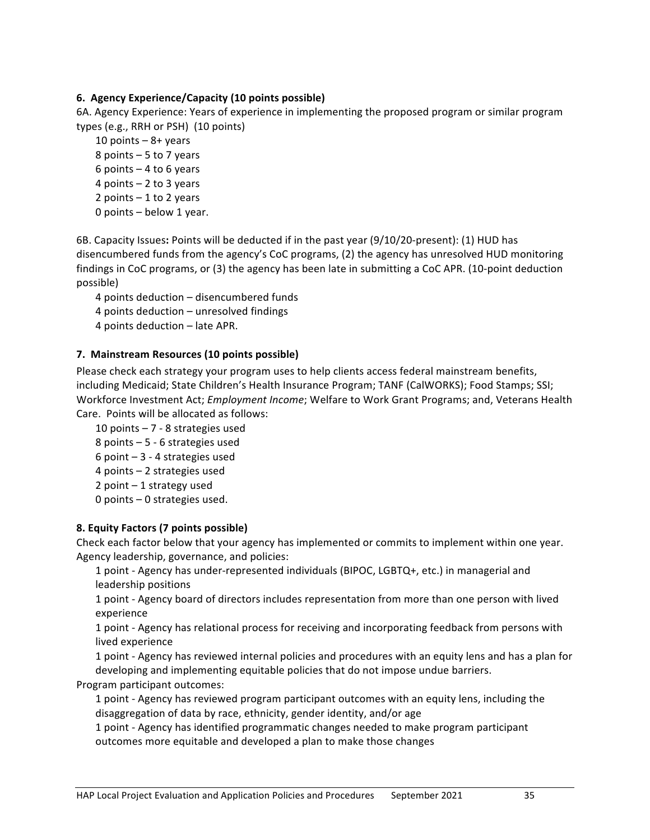### **6. Agency Experience/Capacity (10 points possible)**

6A. Agency Experience: Years of experience in implementing the proposed program or similar program types (e.g., RRH or PSH) (10 points)

10 points  $-8+$  years 8 points  $-5$  to 7 years 6 points  $-4$  to 6 years 4 points  $-2$  to 3 years 2 points  $-1$  to 2 years 0 points  $-$  below 1 year.

6B. Capacity Issues: Points will be deducted if in the past year (9/10/20-present): (1) HUD has disencumbered funds from the agency's CoC programs, (2) the agency has unresolved HUD monitoring findings in CoC programs, or (3) the agency has been late in submitting a CoC APR. (10-point deduction possible)

4 points deduction - disencumbered funds

4 points deduction – unresolved findings

4 points deduction - late APR.

#### **7. Mainstream Resources (10 points possible)**

Please check each strategy your program uses to help clients access federal mainstream benefits, including Medicaid; State Children's Health Insurance Program; TANF (CalWORKS); Food Stamps; SSI; Workforce Investment Act; *Employment Income*; Welfare to Work Grant Programs; and, Veterans Health Care. Points will be allocated as follows:

10 points  $-7 - 8$  strategies used 8 points  $-5 - 6$  strategies used 6 point  $-3 - 4$  strategies used  $4$  points  $-2$  strategies used 2 point  $-1$  strategy used 0 points  $-$  0 strategies used.

### **8. Equity Factors (7 points possible)**

Check each factor below that your agency has implemented or commits to implement within one year. Agency leadership, governance, and policies:

1 point - Agency has under-represented individuals (BIPOC, LGBTQ+, etc.) in managerial and leadership positions

1 point - Agency board of directors includes representation from more than one person with lived experience

1 point - Agency has relational process for receiving and incorporating feedback from persons with lived experience

1 point - Agency has reviewed internal policies and procedures with an equity lens and has a plan for developing and implementing equitable policies that do not impose undue barriers.

Program participant outcomes:

1 point - Agency has reviewed program participant outcomes with an equity lens, including the disaggregation of data by race, ethnicity, gender identity, and/or age

1 point - Agency has identified programmatic changes needed to make program participant outcomes more equitable and developed a plan to make those changes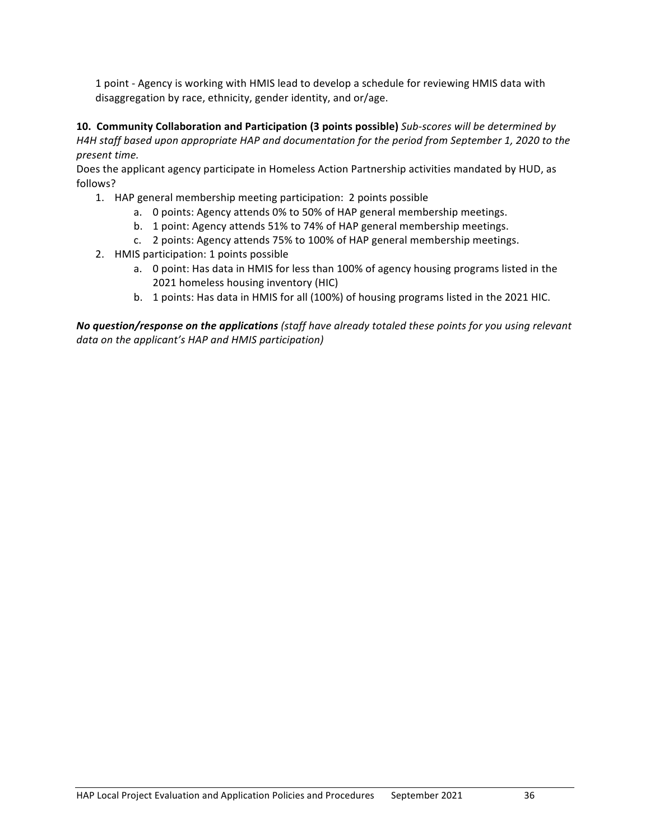1 point - Agency is working with HMIS lead to develop a schedule for reviewing HMIS data with disaggregation by race, ethnicity, gender identity, and or/age.

**10. Community Collaboration and Participation (3 points possible)** Sub-scores will be determined by *H4H staff* based upon appropriate HAP and documentation for the period from September 1, 2020 to the *present time.*

Does the applicant agency participate in Homeless Action Partnership activities mandated by HUD, as follows? 

- 1. HAP general membership meeting participation: 2 points possible
	- a. O points: Agency attends 0% to 50% of HAP general membership meetings.
	- b. 1 point: Agency attends 51% to 74% of HAP general membership meetings.
	- c. 2 points: Agency attends 75% to 100% of HAP general membership meetings.
- 2. HMIS participation: 1 points possible
	- a. O point: Has data in HMIS for less than 100% of agency housing programs listed in the 2021 homeless housing inventory (HIC)
	- b. 1 points: Has data in HMIS for all (100%) of housing programs listed in the 2021 HIC.

**No question/response on the applications** (staff have already totaled these points for you using relevant data on the applicant's HAP and HMIS participation)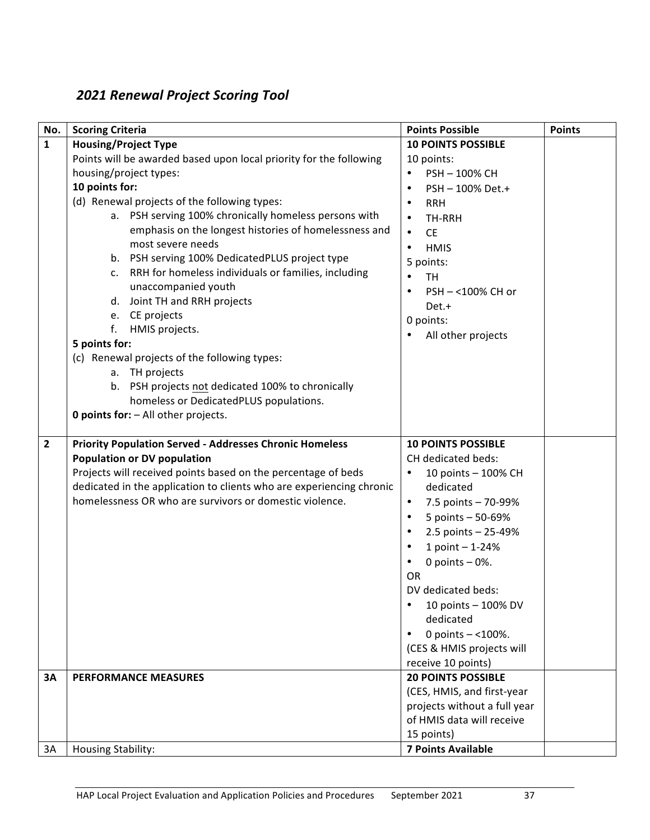# *2021 Renewal Project Scoring Tool*

| No.            | <b>Scoring Criteria</b>                                                                                                                                                                                                                                                                                                                                                                                                                                                                                                                                                                                                                                                                                                                               | <b>Points Possible</b>                                                                                                                                                                                                                                                                                                                                                             | <b>Points</b> |
|----------------|-------------------------------------------------------------------------------------------------------------------------------------------------------------------------------------------------------------------------------------------------------------------------------------------------------------------------------------------------------------------------------------------------------------------------------------------------------------------------------------------------------------------------------------------------------------------------------------------------------------------------------------------------------------------------------------------------------------------------------------------------------|------------------------------------------------------------------------------------------------------------------------------------------------------------------------------------------------------------------------------------------------------------------------------------------------------------------------------------------------------------------------------------|---------------|
| $\mathbf{1}$   | <b>Housing/Project Type</b>                                                                                                                                                                                                                                                                                                                                                                                                                                                                                                                                                                                                                                                                                                                           | <b>10 POINTS POSSIBLE</b>                                                                                                                                                                                                                                                                                                                                                          |               |
|                | Points will be awarded based upon local priority for the following<br>housing/project types:<br>10 points for:<br>(d) Renewal projects of the following types:<br>a. PSH serving 100% chronically homeless persons with<br>emphasis on the longest histories of homelessness and<br>most severe needs<br>b. PSH serving 100% DedicatedPLUS project type<br>RRH for homeless individuals or families, including<br>c.<br>unaccompanied youth<br>d. Joint TH and RRH projects<br>e. CE projects<br>f.<br>HMIS projects.<br>5 points for:<br>(c) Renewal projects of the following types:<br>a. TH projects<br>b. PSH projects not dedicated 100% to chronically<br>homeless or DedicatedPLUS populations.<br><b>0 points for:</b> - All other projects. | 10 points:<br>PSH-100% CH<br>$\bullet$<br>PSH-100% Det.+<br>$\bullet$<br><b>RRH</b><br>$\bullet$<br>TH-RRH<br>$\bullet$<br><b>CE</b><br>$\bullet$<br>$\bullet$<br><b>HMIS</b><br>5 points:<br>TH<br>PSH-<100% CH or<br>$\bullet$<br>Det.+<br>0 points:<br>All other projects                                                                                                       |               |
|                |                                                                                                                                                                                                                                                                                                                                                                                                                                                                                                                                                                                                                                                                                                                                                       |                                                                                                                                                                                                                                                                                                                                                                                    |               |
| $\overline{2}$ | <b>Priority Population Served - Addresses Chronic Homeless</b><br><b>Population or DV population</b><br>Projects will received points based on the percentage of beds<br>dedicated in the application to clients who are experiencing chronic<br>homelessness OR who are survivors or domestic violence.                                                                                                                                                                                                                                                                                                                                                                                                                                              | <b>10 POINTS POSSIBLE</b><br>CH dedicated beds:<br>10 points - 100% CH<br>$\bullet$<br>dedicated<br>7.5 points - 70-99%<br>$\bullet$<br>5 points - 50-69%<br>2.5 points $- 25 - 49%$<br>1 point - 1-24%<br>$\bullet$<br>0 points $-0$ %.<br>OR<br>DV dedicated beds:<br>10 points - 100% DV<br>dedicated<br>0 points $-$ <100%.<br>(CES & HMIS projects will<br>receive 10 points) |               |
| <b>3A</b>      | <b>PERFORMANCE MEASURES</b>                                                                                                                                                                                                                                                                                                                                                                                                                                                                                                                                                                                                                                                                                                                           | <b>20 POINTS POSSIBLE</b><br>(CES, HMIS, and first-year<br>projects without a full year<br>of HMIS data will receive<br>15 points)                                                                                                                                                                                                                                                 |               |
| 3A             | <b>Housing Stability:</b>                                                                                                                                                                                                                                                                                                                                                                                                                                                                                                                                                                                                                                                                                                                             | <b>7 Points Available</b>                                                                                                                                                                                                                                                                                                                                                          |               |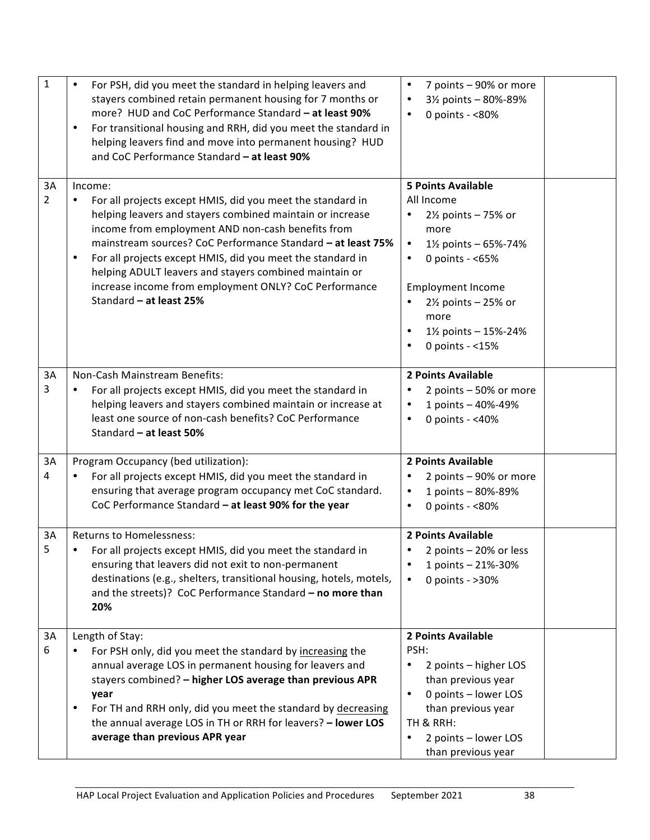| $\mathbf 1$ | For PSH, did you meet the standard in helping leavers and<br>stayers combined retain permanent housing for 7 months or<br>more? HUD and CoC Performance Standard - at least 90%<br>For transitional housing and RRH, did you meet the standard in<br>helping leavers find and move into permanent housing? HUD<br>and CoC Performance Standard - at least 90%                                                                                                                | 7 points - 90% or more<br>$\bullet$<br>3½ points - 80%-89%<br>$\bullet$<br>0 points - <80%<br>$\bullet$                                                                                                                                                        |  |
|-------------|------------------------------------------------------------------------------------------------------------------------------------------------------------------------------------------------------------------------------------------------------------------------------------------------------------------------------------------------------------------------------------------------------------------------------------------------------------------------------|----------------------------------------------------------------------------------------------------------------------------------------------------------------------------------------------------------------------------------------------------------------|--|
| 3A<br>2     | Income:<br>For all projects except HMIS, did you meet the standard in<br>٠<br>helping leavers and stayers combined maintain or increase<br>income from employment AND non-cash benefits from<br>mainstream sources? CoC Performance Standard - at least 75%<br>For all projects except HMIS, did you meet the standard in<br>٠<br>helping ADULT leavers and stayers combined maintain or<br>increase income from employment ONLY? CoC Performance<br>Standard - at least 25% | <b>5 Points Available</b><br>All Income<br>$2\frac{1}{2}$ points - 75% or<br>more<br>$\bullet$<br>1½ points - 65%-74%<br>0 points - <65%<br>$\bullet$<br><b>Employment Income</b><br>2½ points - 25% or<br>more<br>1½ points - 15%-24%<br>٠<br>0 points - <15% |  |
| 3A<br>3     | Non-Cash Mainstream Benefits:<br>For all projects except HMIS, did you meet the standard in<br>helping leavers and stayers combined maintain or increase at<br>least one source of non-cash benefits? CoC Performance<br>Standard - at least 50%                                                                                                                                                                                                                             | 2 Points Available<br>2 points - 50% or more<br>1 points - 40%-49%<br>$\bullet$<br>0 points - $<$ 40%<br>$\bullet$                                                                                                                                             |  |
| 3A<br>4     | Program Occupancy (bed utilization):<br>For all projects except HMIS, did you meet the standard in<br>ensuring that average program occupancy met CoC standard.<br>CoC Performance Standard - at least 90% for the year                                                                                                                                                                                                                                                      | 2 Points Available<br>2 points - 90% or more<br>1 points - 80%-89%<br>٠<br>0 points - <80%<br>$\bullet$                                                                                                                                                        |  |
| 3A<br>5     | <b>Returns to Homelessness:</b><br>For all projects except HMIS, did you meet the standard in<br>ensuring that leavers did not exit to non-permanent<br>destinations (e.g., shelters, transitional housing, hotels, motels,<br>and the streets)? CoC Performance Standard - no more than<br>20%                                                                                                                                                                              | 2 Points Available<br>2 points – 20% or less<br>1 points - 21%-30%<br>0 points - $>30\%$<br>$\bullet$                                                                                                                                                          |  |
| 3A<br>6     | Length of Stay:<br>For PSH only, did you meet the standard by increasing the<br>annual average LOS in permanent housing for leavers and<br>stayers combined? - higher LOS average than previous APR<br>year<br>For TH and RRH only, did you meet the standard by decreasing<br>٠<br>the annual average LOS in TH or RRH for leavers? - lower LOS<br>average than previous APR year                                                                                           | 2 Points Available<br>PSH:<br>2 points - higher LOS<br>$\bullet$<br>than previous year<br>0 points - lower LOS<br>$\bullet$<br>than previous year<br>TH & RRH:<br>2 points - lower LOS<br>$\bullet$<br>than previous year                                      |  |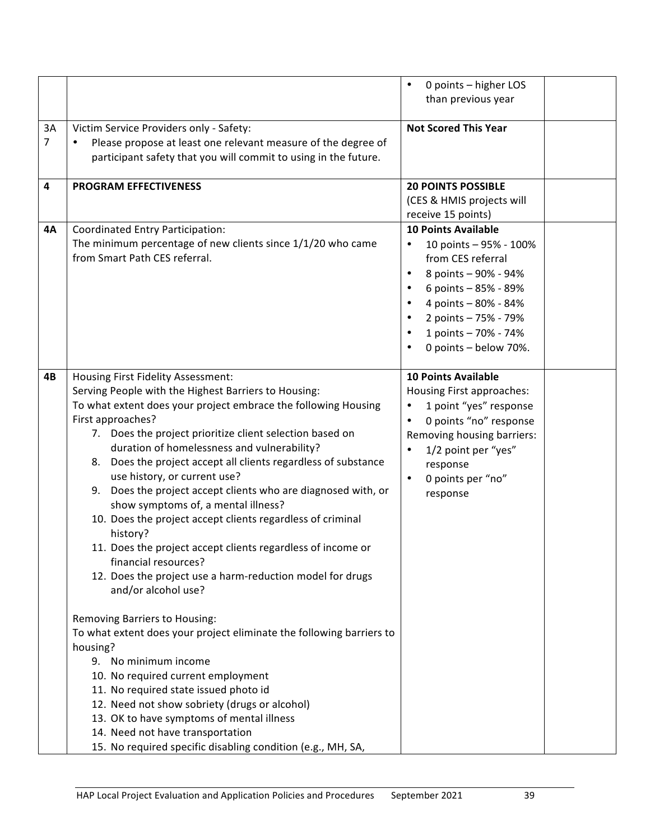|         |                                                                                                                                                                                                                                                                                                                                                                                                                                                                                                                                                                                                                                                                                                                                                                                                                                                                                                                                                                                                                                                                                                                                                                                                 | 0 points - higher LOS<br>$\bullet$<br>than previous year                                                                                                                                                                                                  |  |
|---------|-------------------------------------------------------------------------------------------------------------------------------------------------------------------------------------------------------------------------------------------------------------------------------------------------------------------------------------------------------------------------------------------------------------------------------------------------------------------------------------------------------------------------------------------------------------------------------------------------------------------------------------------------------------------------------------------------------------------------------------------------------------------------------------------------------------------------------------------------------------------------------------------------------------------------------------------------------------------------------------------------------------------------------------------------------------------------------------------------------------------------------------------------------------------------------------------------|-----------------------------------------------------------------------------------------------------------------------------------------------------------------------------------------------------------------------------------------------------------|--|
| 3A<br>7 | Victim Service Providers only - Safety:<br>Please propose at least one relevant measure of the degree of<br>participant safety that you will commit to using in the future.                                                                                                                                                                                                                                                                                                                                                                                                                                                                                                                                                                                                                                                                                                                                                                                                                                                                                                                                                                                                                     | <b>Not Scored This Year</b>                                                                                                                                                                                                                               |  |
| 4       | <b>PROGRAM EFFECTIVENESS</b>                                                                                                                                                                                                                                                                                                                                                                                                                                                                                                                                                                                                                                                                                                                                                                                                                                                                                                                                                                                                                                                                                                                                                                    | <b>20 POINTS POSSIBLE</b><br>(CES & HMIS projects will<br>receive 15 points)                                                                                                                                                                              |  |
| 4А      | Coordinated Entry Participation:<br>The minimum percentage of new clients since 1/1/20 who came<br>from Smart Path CES referral.                                                                                                                                                                                                                                                                                                                                                                                                                                                                                                                                                                                                                                                                                                                                                                                                                                                                                                                                                                                                                                                                | <b>10 Points Available</b><br>10 points - 95% - 100%<br>٠<br>from CES referral<br>8 points - 90% - 94%<br>$\bullet$<br>6 points - 85% - 89%<br>4 points - 80% - 84%<br>2 points - 75% - 79%<br>1 points - 70% - 74%<br>$\bullet$<br>0 points - below 70%. |  |
| 4B      | Housing First Fidelity Assessment:<br>Serving People with the Highest Barriers to Housing:<br>To what extent does your project embrace the following Housing<br>First approaches?<br>7. Does the project prioritize client selection based on<br>duration of homelessness and vulnerability?<br>8. Does the project accept all clients regardless of substance<br>use history, or current use?<br>9. Does the project accept clients who are diagnosed with, or<br>show symptoms of, a mental illness?<br>10. Does the project accept clients regardless of criminal<br>history?<br>11. Does the project accept clients regardless of income or<br>financial resources?<br>12. Does the project use a harm-reduction model for drugs<br>and/or alcohol use?<br><b>Removing Barriers to Housing:</b><br>To what extent does your project eliminate the following barriers to<br>housing?<br>9. No minimum income<br>10. No required current employment<br>11. No required state issued photo id<br>12. Need not show sobriety (drugs or alcohol)<br>13. OK to have symptoms of mental illness<br>14. Need not have transportation<br>15. No required specific disabling condition (e.g., MH, SA, | <b>10 Points Available</b><br>Housing First approaches:<br>1 point "yes" response<br>٠<br>0 points "no" response<br>$\bullet$<br>Removing housing barriers:<br>1/2 point per "yes"<br>$\bullet$<br>response<br>0 points per "no"<br>$\bullet$<br>response |  |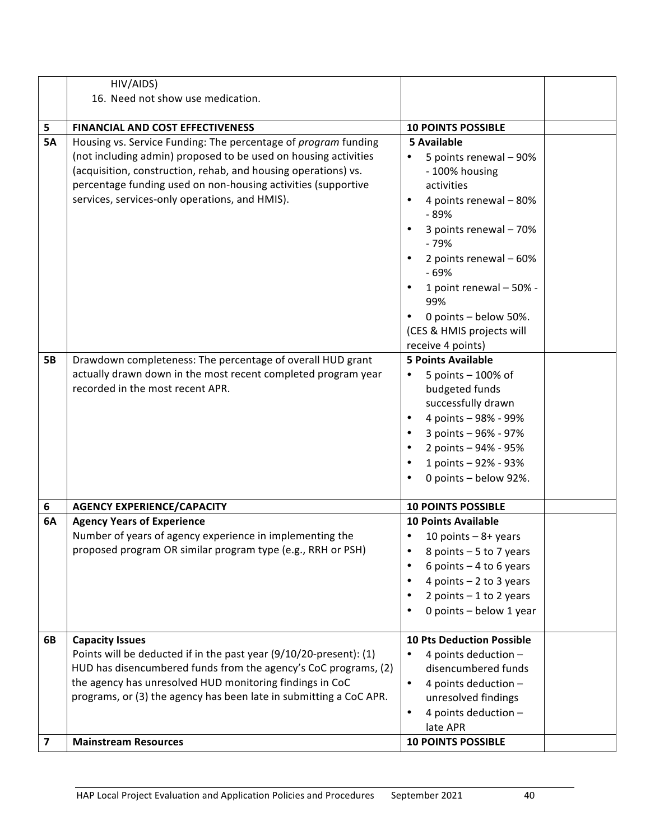|                         | HIV/AIDS)                                                                                                                                                                                                                                                                                                              |                                                                                                                                                                                                                                    |  |
|-------------------------|------------------------------------------------------------------------------------------------------------------------------------------------------------------------------------------------------------------------------------------------------------------------------------------------------------------------|------------------------------------------------------------------------------------------------------------------------------------------------------------------------------------------------------------------------------------|--|
|                         | 16. Need not show use medication.                                                                                                                                                                                                                                                                                      |                                                                                                                                                                                                                                    |  |
|                         |                                                                                                                                                                                                                                                                                                                        |                                                                                                                                                                                                                                    |  |
| 5                       | FINANCIAL AND COST EFFECTIVENESS                                                                                                                                                                                                                                                                                       | <b>10 POINTS POSSIBLE</b>                                                                                                                                                                                                          |  |
| <b>5A</b>               | Housing vs. Service Funding: The percentage of program funding<br>(not including admin) proposed to be used on housing activities<br>(acquisition, construction, rehab, and housing operations) vs.<br>percentage funding used on non-housing activities (supportive<br>services, services-only operations, and HMIS). | <b>5 Available</b><br>5 points renewal - 90%<br>- 100% housing<br>activities<br>4 points renewal - 80%<br>- 89%<br>3 points renewal - 70%<br>$-79%$<br>2 points renewal - 60%<br>$-69%$<br>1 point renewal - 50% -<br>99%          |  |
|                         |                                                                                                                                                                                                                                                                                                                        | 0 points - below 50%.<br>(CES & HMIS projects will<br>receive 4 points)                                                                                                                                                            |  |
| <b>5B</b>               | Drawdown completeness: The percentage of overall HUD grant<br>actually drawn down in the most recent completed program year<br>recorded in the most recent APR.                                                                                                                                                        | <b>5 Points Available</b><br>5 points - 100% of<br>budgeted funds<br>successfully drawn<br>4 points - 98% - 99%<br>٠<br>3 points - 96% - 97%<br>$\bullet$<br>2 points - 94% - 95%<br>1 points - 92% - 93%<br>0 points - below 92%. |  |
| 6                       | <b>AGENCY EXPERIENCE/CAPACITY</b>                                                                                                                                                                                                                                                                                      | <b>10 POINTS POSSIBLE</b>                                                                                                                                                                                                          |  |
| 6A                      | <b>Agency Years of Experience</b><br>Number of years of agency experience in implementing the<br>proposed program OR similar program type (e.g., RRH or PSH)                                                                                                                                                           | 10 Points Available<br>10 points $-8+$ years<br>$\bullet$<br>8 points $-5$ to 7 years<br>6 points $-4$ to 6 years<br>4 points $-2$ to 3 years<br>2 points $-1$ to 2 years<br>0 points - below 1 year                               |  |
| 6B                      | <b>Capacity Issues</b><br>Points will be deducted if in the past year (9/10/20-present): (1)<br>HUD has disencumbered funds from the agency's CoC programs, (2)<br>the agency has unresolved HUD monitoring findings in CoC<br>programs, or (3) the agency has been late in submitting a CoC APR.                      | <b>10 Pts Deduction Possible</b><br>4 points deduction -<br>٠<br>disencumbered funds<br>4 points deduction $-$<br>$\bullet$<br>unresolved findings<br>4 points deduction $-$<br>$\bullet$<br>late APR                              |  |
| $\overline{\mathbf{z}}$ | <b>Mainstream Resources</b>                                                                                                                                                                                                                                                                                            | <b>10 POINTS POSSIBLE</b>                                                                                                                                                                                                          |  |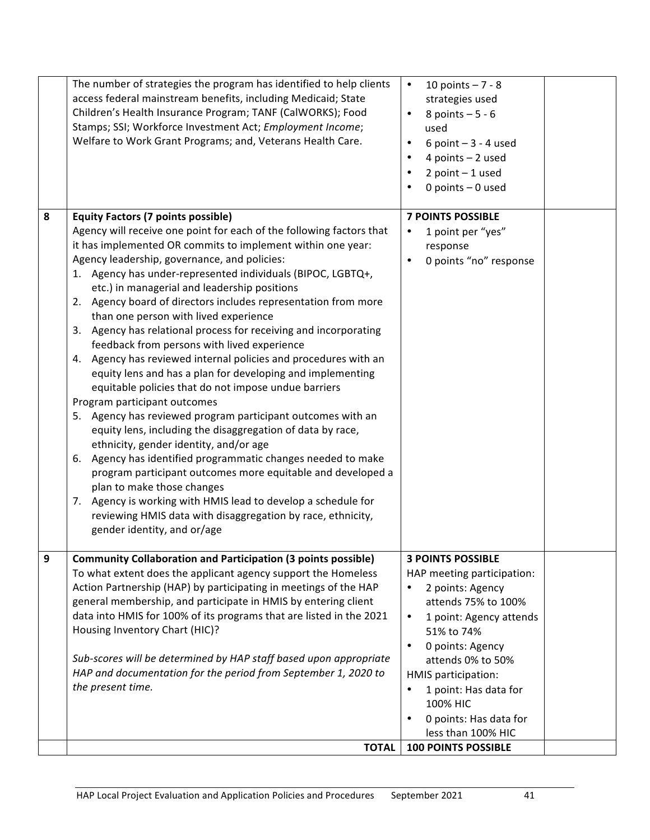|   | The number of strategies the program has identified to help clients<br>access federal mainstream benefits, including Medicaid; State<br>Children's Health Insurance Program; TANF (CalWORKS); Food<br>Stamps; SSI; Workforce Investment Act; Employment Income;<br>Welfare to Work Grant Programs; and, Veterans Health Care.                                                                                                                                                                                                                                                                                                                                                                                                                                                                                                                                                                                                                                                                                                                                                                                                                                                                                                                                                                                | 10 points $-7 - 8$<br>$\bullet$<br>strategies used<br>8 points $-5 - 6$<br>used<br>6 point $-3 - 4$ used<br>4 points $-2$ used<br>2 point $-1$ used<br>0 points $-$ 0 used                                                                                                                                                                                        |  |
|---|--------------------------------------------------------------------------------------------------------------------------------------------------------------------------------------------------------------------------------------------------------------------------------------------------------------------------------------------------------------------------------------------------------------------------------------------------------------------------------------------------------------------------------------------------------------------------------------------------------------------------------------------------------------------------------------------------------------------------------------------------------------------------------------------------------------------------------------------------------------------------------------------------------------------------------------------------------------------------------------------------------------------------------------------------------------------------------------------------------------------------------------------------------------------------------------------------------------------------------------------------------------------------------------------------------------|-------------------------------------------------------------------------------------------------------------------------------------------------------------------------------------------------------------------------------------------------------------------------------------------------------------------------------------------------------------------|--|
| 8 | <b>Equity Factors (7 points possible)</b><br>Agency will receive one point for each of the following factors that<br>it has implemented OR commits to implement within one year:<br>Agency leadership, governance, and policies:<br>1. Agency has under-represented individuals (BIPOC, LGBTQ+,<br>etc.) in managerial and leadership positions<br>2. Agency board of directors includes representation from more<br>than one person with lived experience<br>3. Agency has relational process for receiving and incorporating<br>feedback from persons with lived experience<br>4. Agency has reviewed internal policies and procedures with an<br>equity lens and has a plan for developing and implementing<br>equitable policies that do not impose undue barriers<br>Program participant outcomes<br>5. Agency has reviewed program participant outcomes with an<br>equity lens, including the disaggregation of data by race,<br>ethnicity, gender identity, and/or age<br>6. Agency has identified programmatic changes needed to make<br>program participant outcomes more equitable and developed a<br>plan to make those changes<br>Agency is working with HMIS lead to develop a schedule for<br>7.<br>reviewing HMIS data with disaggregation by race, ethnicity,<br>gender identity, and or/age | <b>7 POINTS POSSIBLE</b><br>1 point per "yes"<br>$\bullet$<br>response<br>0 points "no" response                                                                                                                                                                                                                                                                  |  |
| 9 | <b>Community Collaboration and Participation (3 points possible)</b><br>To what extent does the applicant agency support the Homeless<br>Action Partnership (HAP) by participating in meetings of the HAP<br>general membership, and participate in HMIS by entering client<br>data into HMIS for 100% of its programs that are listed in the 2021<br>Housing Inventory Chart (HIC)?<br>Sub-scores will be determined by HAP staff based upon appropriate<br>HAP and documentation for the period from September 1, 2020 to<br>the present time.<br><b>TOTAL</b>                                                                                                                                                                                                                                                                                                                                                                                                                                                                                                                                                                                                                                                                                                                                             | <b>3 POINTS POSSIBLE</b><br>HAP meeting participation:<br>2 points: Agency<br>٠<br>attends 75% to 100%<br>1 point: Agency attends<br>$\bullet$<br>51% to 74%<br>0 points: Agency<br>٠<br>attends 0% to 50%<br>HMIS participation:<br>1 point: Has data for<br>$\bullet$<br>100% HIC<br>0 points: Has data for<br>less than 100% HIC<br><b>100 POINTS POSSIBLE</b> |  |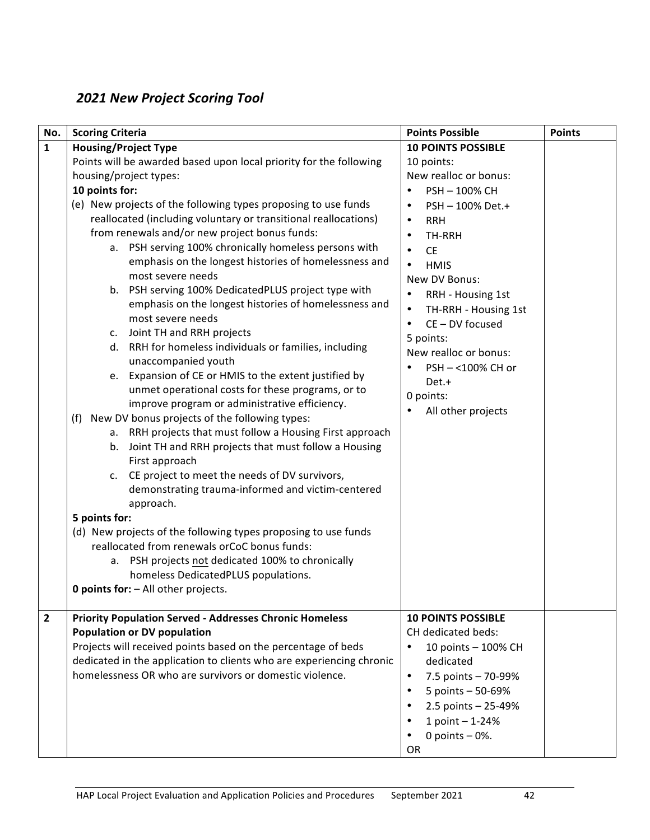# *2021 New Project Scoring Tool*

| No.            | <b>Scoring Criteria</b>                                                                                                                                                                                                                                                                                                                                                                                                                                                                                                                                                                                                                                                                                                                                                                                                                                                                                                                                                                                                                                                                                                                                                                                                                                                                                                                                                                                                                                                        | <b>Points Possible</b>                                                                                                                                                                                                                                                                                                                                                                                                            | <b>Points</b> |
|----------------|--------------------------------------------------------------------------------------------------------------------------------------------------------------------------------------------------------------------------------------------------------------------------------------------------------------------------------------------------------------------------------------------------------------------------------------------------------------------------------------------------------------------------------------------------------------------------------------------------------------------------------------------------------------------------------------------------------------------------------------------------------------------------------------------------------------------------------------------------------------------------------------------------------------------------------------------------------------------------------------------------------------------------------------------------------------------------------------------------------------------------------------------------------------------------------------------------------------------------------------------------------------------------------------------------------------------------------------------------------------------------------------------------------------------------------------------------------------------------------|-----------------------------------------------------------------------------------------------------------------------------------------------------------------------------------------------------------------------------------------------------------------------------------------------------------------------------------------------------------------------------------------------------------------------------------|---------------|
| $\mathbf{1}$   | <b>Housing/Project Type</b>                                                                                                                                                                                                                                                                                                                                                                                                                                                                                                                                                                                                                                                                                                                                                                                                                                                                                                                                                                                                                                                                                                                                                                                                                                                                                                                                                                                                                                                    | <b>10 POINTS POSSIBLE</b>                                                                                                                                                                                                                                                                                                                                                                                                         |               |
|                | Points will be awarded based upon local priority for the following<br>housing/project types:<br>10 points for:<br>(e) New projects of the following types proposing to use funds<br>reallocated (including voluntary or transitional reallocations)<br>from renewals and/or new project bonus funds:<br>a. PSH serving 100% chronically homeless persons with<br>emphasis on the longest histories of homelessness and<br>most severe needs<br>b. PSH serving 100% DedicatedPLUS project type with<br>emphasis on the longest histories of homelessness and<br>most severe needs<br>Joint TH and RRH projects<br>c.<br>d. RRH for homeless individuals or families, including<br>unaccompanied youth<br>Expansion of CE or HMIS to the extent justified by<br>e.<br>unmet operational costs for these programs, or to<br>improve program or administrative efficiency.<br>New DV bonus projects of the following types:<br>(f)<br>a. RRH projects that must follow a Housing First approach<br>Joint TH and RRH projects that must follow a Housing<br>b.<br>First approach<br>c. CE project to meet the needs of DV survivors,<br>demonstrating trauma-informed and victim-centered<br>approach.<br>5 points for:<br>(d) New projects of the following types proposing to use funds<br>reallocated from renewals orCoC bonus funds:<br>a. PSH projects not dedicated 100% to chronically<br>homeless DedicatedPLUS populations.<br><b>0 points for:</b> - All other projects. | 10 points:<br>New realloc or bonus:<br>PSH-100% CH<br>PSH-100% Det.+<br>$\bullet$<br><b>RRH</b><br>$\bullet$<br>TH-RRH<br>$\bullet$<br><b>CE</b><br>$\bullet$<br><b>HMIS</b><br>$\bullet$<br>New DV Bonus:<br>RRH - Housing 1st<br>$\bullet$<br>TH-RRH - Housing 1st<br>$\bullet$<br>CE-DV focused<br>$\bullet$<br>5 points:<br>New realloc or bonus:<br>PSH-<100% CH or<br>Det.+<br>0 points:<br>$\bullet$<br>All other projects |               |
| $\overline{2}$ | <b>Priority Population Served - Addresses Chronic Homeless</b><br><b>Population or DV population</b><br>Projects will received points based on the percentage of beds<br>dedicated in the application to clients who are experiencing chronic<br>homelessness OR who are survivors or domestic violence.                                                                                                                                                                                                                                                                                                                                                                                                                                                                                                                                                                                                                                                                                                                                                                                                                                                                                                                                                                                                                                                                                                                                                                       | <b>10 POINTS POSSIBLE</b><br>CH dedicated beds:<br>10 points - 100% CH<br>$\bullet$<br>dedicated<br>7.5 points - 70-99%<br>$\bullet$<br>5 points - 50-69%<br>$\bullet$<br>2.5 points - 25-49%<br>1 point - 1-24%<br>$\bullet$<br>0 points $-0$ %.<br><b>OR</b>                                                                                                                                                                    |               |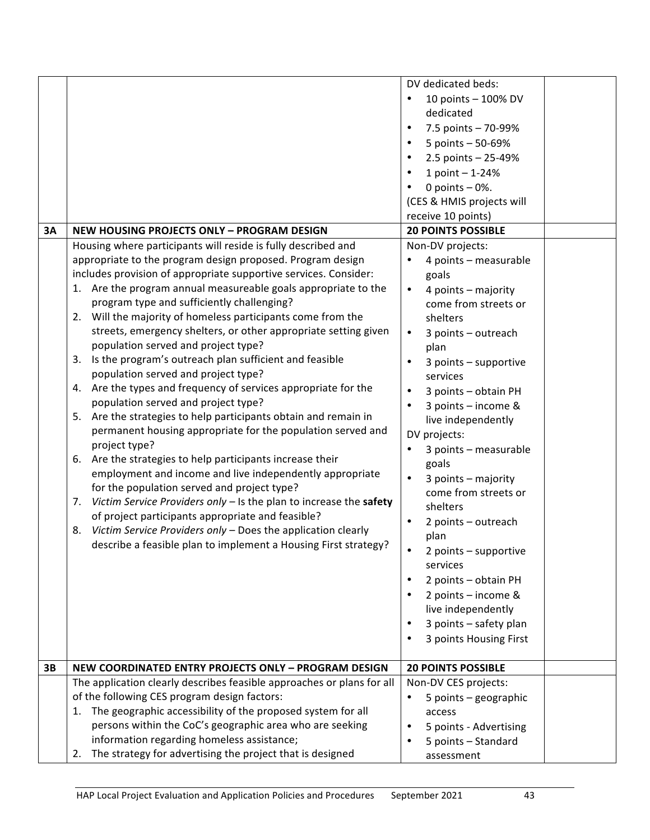|    |                                                                                                                        | DV dedicated beds:                                |  |
|----|------------------------------------------------------------------------------------------------------------------------|---------------------------------------------------|--|
|    |                                                                                                                        | 10 points - 100% DV                               |  |
|    |                                                                                                                        | dedicated                                         |  |
|    |                                                                                                                        | 7.5 points - 70-99%<br>$\bullet$                  |  |
|    |                                                                                                                        | 5 points - 50-69%                                 |  |
|    |                                                                                                                        |                                                   |  |
|    |                                                                                                                        | 2.5 points - 25-49%                               |  |
|    |                                                                                                                        | 1 point $- 1 - 24%$                               |  |
|    |                                                                                                                        | 0 points $-0$ %.                                  |  |
|    |                                                                                                                        | (CES & HMIS projects will                         |  |
|    |                                                                                                                        | receive 10 points)                                |  |
| 3A | <b>NEW HOUSING PROJECTS ONLY - PROGRAM DESIGN</b>                                                                      | <b>20 POINTS POSSIBLE</b>                         |  |
|    | Housing where participants will reside is fully described and                                                          | Non-DV projects:                                  |  |
|    | appropriate to the program design proposed. Program design                                                             | 4 points - measurable                             |  |
|    | includes provision of appropriate supportive services. Consider:                                                       | goals                                             |  |
|    | 1. Are the program annual measureable goals appropriate to the                                                         | 4 points - majority<br>$\bullet$                  |  |
|    | program type and sufficiently challenging?                                                                             | come from streets or                              |  |
|    | 2. Will the majority of homeless participants come from the                                                            | shelters                                          |  |
|    | streets, emergency shelters, or other appropriate setting given                                                        | 3 points - outreach<br>$\bullet$                  |  |
|    | population served and project type?                                                                                    | plan                                              |  |
|    | Is the program's outreach plan sufficient and feasible<br>3.                                                           | 3 points - supportive                             |  |
|    | population served and project type?                                                                                    | services                                          |  |
|    | Are the types and frequency of services appropriate for the<br>4.                                                      | 3 points - obtain PH<br>$\bullet$                 |  |
|    | population served and project type?                                                                                    | 3 points - income &                               |  |
|    | Are the strategies to help participants obtain and remain in<br>5.                                                     | live independently                                |  |
|    | permanent housing appropriate for the population served and                                                            | DV projects:                                      |  |
|    | project type?                                                                                                          | 3 points - measurable                             |  |
|    | Are the strategies to help participants increase their<br>6.                                                           | goals                                             |  |
|    | employment and income and live independently appropriate                                                               | $\bullet$<br>3 points - majority                  |  |
|    | for the population served and project type?                                                                            | come from streets or                              |  |
|    | Victim Service Providers only - Is the plan to increase the safety<br>7.                                               | shelters                                          |  |
|    | of project participants appropriate and feasible?                                                                      |                                                   |  |
|    | Victim Service Providers only - Does the application clearly<br>8.                                                     | 2 points - outreach                               |  |
|    | describe a feasible plan to implement a Housing First strategy?                                                        | plan                                              |  |
|    |                                                                                                                        | 2 points - supportive<br>services                 |  |
|    |                                                                                                                        | 2 points - obtain PH                              |  |
|    |                                                                                                                        |                                                   |  |
|    |                                                                                                                        | 2 points - income &                               |  |
|    |                                                                                                                        | live independently                                |  |
|    |                                                                                                                        | 3 points - safety plan                            |  |
|    |                                                                                                                        | 3 points Housing First                            |  |
|    |                                                                                                                        |                                                   |  |
| 3B | NEW COORDINATED ENTRY PROJECTS ONLY - PROGRAM DESIGN                                                                   | <b>20 POINTS POSSIBLE</b><br>Non-DV CES projects: |  |
|    | The application clearly describes feasible approaches or plans for all<br>of the following CES program design factors: |                                                   |  |
|    | The geographic accessibility of the proposed system for all                                                            | 5 points - geographic                             |  |
|    | 1.<br>persons within the CoC's geographic area who are seeking                                                         | access                                            |  |
|    |                                                                                                                        | 5 points - Advertising                            |  |
|    | information regarding homeless assistance;                                                                             | 5 points - Standard                               |  |
|    | The strategy for advertising the project that is designed<br>2.                                                        | assessment                                        |  |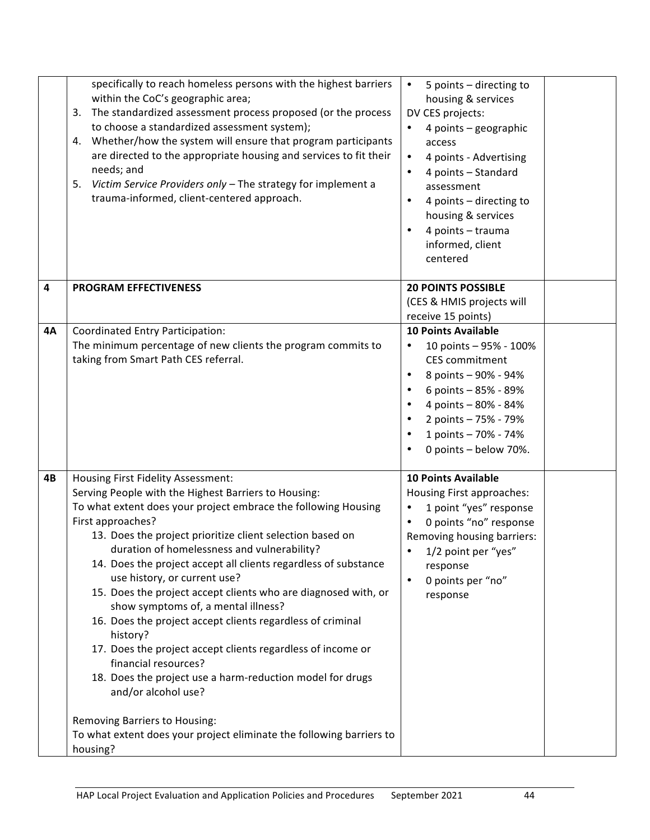|    | specifically to reach homeless persons with the highest barriers<br>within the CoC's geographic area;<br>The standardized assessment process proposed (or the process<br>3.<br>to choose a standardized assessment system);<br>Whether/how the system will ensure that program participants<br>4.<br>are directed to the appropriate housing and services to fit their<br>needs; and<br>Victim Service Providers only - The strategy for implement a<br>5.<br>trauma-informed, client-centered approach.                                                                                                                                                                                                                                                                                                                                                                            | 5 points - directing to<br>$\bullet$<br>housing & services<br>DV CES projects:<br>4 points - geographic<br>access<br>4 points - Advertising<br>$\bullet$<br>4 points - Standard<br>$\bullet$<br>assessment<br>4 points - directing to<br>٠<br>housing & services<br>4 points - trauma<br>informed, client<br>centered |
|----|-------------------------------------------------------------------------------------------------------------------------------------------------------------------------------------------------------------------------------------------------------------------------------------------------------------------------------------------------------------------------------------------------------------------------------------------------------------------------------------------------------------------------------------------------------------------------------------------------------------------------------------------------------------------------------------------------------------------------------------------------------------------------------------------------------------------------------------------------------------------------------------|-----------------------------------------------------------------------------------------------------------------------------------------------------------------------------------------------------------------------------------------------------------------------------------------------------------------------|
| 4  | <b>PROGRAM EFFECTIVENESS</b>                                                                                                                                                                                                                                                                                                                                                                                                                                                                                                                                                                                                                                                                                                                                                                                                                                                        | <b>20 POINTS POSSIBLE</b><br>(CES & HMIS projects will<br>receive 15 points)                                                                                                                                                                                                                                          |
| 4Α | Coordinated Entry Participation:<br>The minimum percentage of new clients the program commits to<br>taking from Smart Path CES referral.                                                                                                                                                                                                                                                                                                                                                                                                                                                                                                                                                                                                                                                                                                                                            | <b>10 Points Available</b><br>10 points - 95% - 100%<br>٠<br><b>CES</b> commitment<br>8 points - 90% - 94%<br>$\bullet$<br>6 points - 85% - 89%<br>4 points - 80% - 84%<br>2 points - 75% - 79%<br>1 points - 70% - 74%<br>$\bullet$<br>0 points - below 70%.                                                         |
| 4B | Housing First Fidelity Assessment:<br>Serving People with the Highest Barriers to Housing:<br>To what extent does your project embrace the following Housing<br>First approaches?<br>13. Does the project prioritize client selection based on<br>duration of homelessness and vulnerability?<br>14. Does the project accept all clients regardless of substance<br>use history, or current use?<br>15. Does the project accept clients who are diagnosed with, or<br>show symptoms of, a mental illness?<br>16. Does the project accept clients regardless of criminal<br>history?<br>17. Does the project accept clients regardless of income or<br>financial resources?<br>18. Does the project use a harm-reduction model for drugs<br>and/or alcohol use?<br>Removing Barriers to Housing:<br>To what extent does your project eliminate the following barriers to<br>housing? | <b>10 Points Available</b><br>Housing First approaches:<br>1 point "yes" response<br>٠<br>0 points "no" response<br>$\bullet$<br>Removing housing barriers:<br>1/2 point per "yes"<br>response<br>0 points per "no"<br>$\bullet$<br>response                                                                          |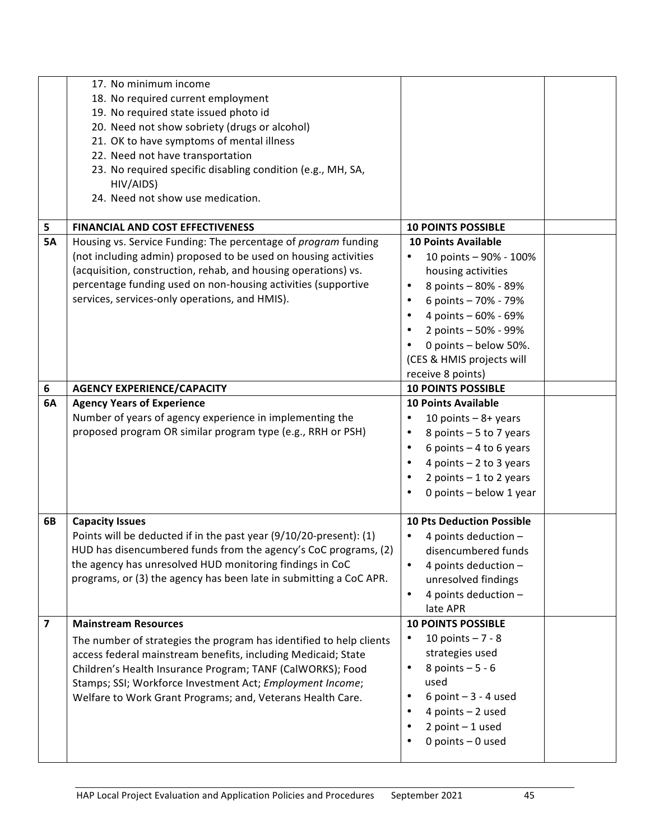|                         | 17. No minimum income<br>18. No required current employment<br>19. No required state issued photo id |                                       |  |
|-------------------------|------------------------------------------------------------------------------------------------------|---------------------------------------|--|
|                         | 20. Need not show sobriety (drugs or alcohol)                                                        |                                       |  |
|                         | 21. OK to have symptoms of mental illness                                                            |                                       |  |
|                         | 22. Need not have transportation                                                                     |                                       |  |
|                         | 23. No required specific disabling condition (e.g., MH, SA,                                          |                                       |  |
|                         | HIV/AIDS)                                                                                            |                                       |  |
|                         | 24. Need not show use medication.                                                                    |                                       |  |
| 5                       | <b>FINANCIAL AND COST EFFECTIVENESS</b>                                                              | <b>10 POINTS POSSIBLE</b>             |  |
| <b>5A</b>               | Housing vs. Service Funding: The percentage of program funding                                       | <b>10 Points Available</b>            |  |
|                         | (not including admin) proposed to be used on housing activities                                      | 10 points - 90% - 100%<br>$\bullet$   |  |
|                         | (acquisition, construction, rehab, and housing operations) vs.                                       | housing activities                    |  |
|                         | percentage funding used on non-housing activities (supportive                                        | 8 points - 80% - 89%<br>$\bullet$     |  |
|                         | services, services-only operations, and HMIS).                                                       | 6 points - 70% - 79%<br>$\bullet$     |  |
|                         |                                                                                                      | 4 points - 60% - 69%<br>$\bullet$     |  |
|                         |                                                                                                      | 2 points - 50% - 99%                  |  |
|                         |                                                                                                      | 0 points - below 50%.                 |  |
|                         |                                                                                                      | (CES & HMIS projects will             |  |
|                         |                                                                                                      | receive 8 points)                     |  |
| 6                       | <b>AGENCY EXPERIENCE/CAPACITY</b>                                                                    | <b>10 POINTS POSSIBLE</b>             |  |
| 6A                      | <b>Agency Years of Experience</b>                                                                    | <b>10 Points Available</b>            |  |
|                         | Number of years of agency experience in implementing the                                             | 10 points $-8+$ years<br>$\bullet$    |  |
|                         | proposed program OR similar program type (e.g., RRH or PSH)                                          | 8 points - 5 to 7 years<br>$\bullet$  |  |
|                         |                                                                                                      | 6 points $-4$ to 6 years<br>$\bullet$ |  |
|                         |                                                                                                      | 4 points $-2$ to 3 years              |  |
|                         |                                                                                                      | 2 points $-1$ to 2 years              |  |
|                         |                                                                                                      | 0 points - below 1 year<br>$\bullet$  |  |
| 6B                      | <b>Capacity Issues</b>                                                                               | <b>10 Pts Deduction Possible</b>      |  |
|                         | Points will be deducted if in the past year (9/10/20-present): (1)                                   | 4 points deduction -<br>٠             |  |
|                         | HUD has disencumbered funds from the agency's CoC programs, (2)                                      | disencumbered funds                   |  |
|                         | the agency has unresolved HUD monitoring findings in CoC                                             | 4 points deduction -                  |  |
|                         | programs, or (3) the agency has been late in submitting a CoC APR.                                   | unresolved findings                   |  |
|                         |                                                                                                      | 4 points deduction -<br>$\bullet$     |  |
|                         |                                                                                                      | late APR                              |  |
| $\overline{\mathbf{z}}$ | <b>Mainstream Resources</b>                                                                          | <b>10 POINTS POSSIBLE</b>             |  |
|                         | The number of strategies the program has identified to help clients                                  | 10 points $-7 - 8$                    |  |
|                         | access federal mainstream benefits, including Medicaid; State                                        | strategies used                       |  |
|                         | Children's Health Insurance Program; TANF (CalWORKS); Food                                           | 8 points $-5 - 6$<br>٠                |  |
|                         | Stamps; SSI; Workforce Investment Act; Employment Income;                                            | used                                  |  |
|                         | Welfare to Work Grant Programs; and, Veterans Health Care.                                           | 6 point $-3 - 4$ used<br>٠            |  |
|                         |                                                                                                      | 4 points - 2 used                     |  |
|                         |                                                                                                      | $2$ point $-1$ used                   |  |
|                         |                                                                                                      | 0 points $-$ 0 used                   |  |
|                         |                                                                                                      |                                       |  |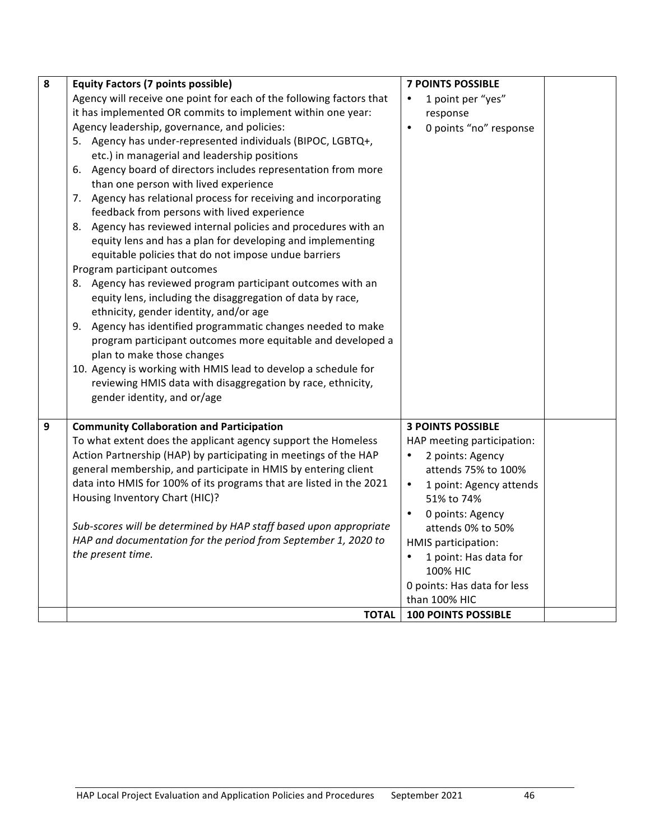| 8 | <b>Equity Factors (7 points possible)</b>                                                              | <b>7 POINTS POSSIBLE</b>             |  |
|---|--------------------------------------------------------------------------------------------------------|--------------------------------------|--|
|   | Agency will receive one point for each of the following factors that                                   | 1 point per "yes"                    |  |
|   | it has implemented OR commits to implement within one year:                                            | response                             |  |
|   | Agency leadership, governance, and policies:                                                           | 0 points "no" response               |  |
|   | 5. Agency has under-represented individuals (BIPOC, LGBTQ+,                                            |                                      |  |
|   | etc.) in managerial and leadership positions                                                           |                                      |  |
|   | 6. Agency board of directors includes representation from more                                         |                                      |  |
|   | than one person with lived experience                                                                  |                                      |  |
|   | 7. Agency has relational process for receiving and incorporating                                       |                                      |  |
|   | feedback from persons with lived experience                                                            |                                      |  |
|   | 8. Agency has reviewed internal policies and procedures with an                                        |                                      |  |
|   | equity lens and has a plan for developing and implementing                                             |                                      |  |
|   | equitable policies that do not impose undue barriers                                                   |                                      |  |
|   | Program participant outcomes                                                                           |                                      |  |
|   | 8. Agency has reviewed program participant outcomes with an                                            |                                      |  |
|   | equity lens, including the disaggregation of data by race,                                             |                                      |  |
|   | ethnicity, gender identity, and/or age<br>9. Agency has identified programmatic changes needed to make |                                      |  |
|   | program participant outcomes more equitable and developed a                                            |                                      |  |
|   | plan to make those changes                                                                             |                                      |  |
|   | 10. Agency is working with HMIS lead to develop a schedule for                                         |                                      |  |
|   | reviewing HMIS data with disaggregation by race, ethnicity,                                            |                                      |  |
|   | gender identity, and or/age                                                                            |                                      |  |
|   |                                                                                                        |                                      |  |
| 9 | <b>Community Collaboration and Participation</b>                                                       | <b>3 POINTS POSSIBLE</b>             |  |
|   | To what extent does the applicant agency support the Homeless                                          | HAP meeting participation:           |  |
|   | Action Partnership (HAP) by participating in meetings of the HAP                                       | $\bullet$<br>2 points: Agency        |  |
|   | general membership, and participate in HMIS by entering client                                         | attends 75% to 100%                  |  |
|   | data into HMIS for 100% of its programs that are listed in the 2021                                    | 1 point: Agency attends<br>$\bullet$ |  |
|   | Housing Inventory Chart (HIC)?                                                                         | 51% to 74%                           |  |
|   |                                                                                                        | $\bullet$<br>0 points: Agency        |  |
|   | Sub-scores will be determined by HAP staff based upon appropriate                                      | attends 0% to 50%                    |  |
|   | HAP and documentation for the period from September 1, 2020 to                                         | HMIS participation:                  |  |
|   | the present time.                                                                                      | $\bullet$<br>1 point: Has data for   |  |
|   |                                                                                                        | 100% HIC                             |  |
|   |                                                                                                        | 0 points: Has data for less          |  |
|   |                                                                                                        | than 100% HIC                        |  |
|   | <b>TOTAL</b>                                                                                           | <b>100 POINTS POSSIBLE</b>           |  |